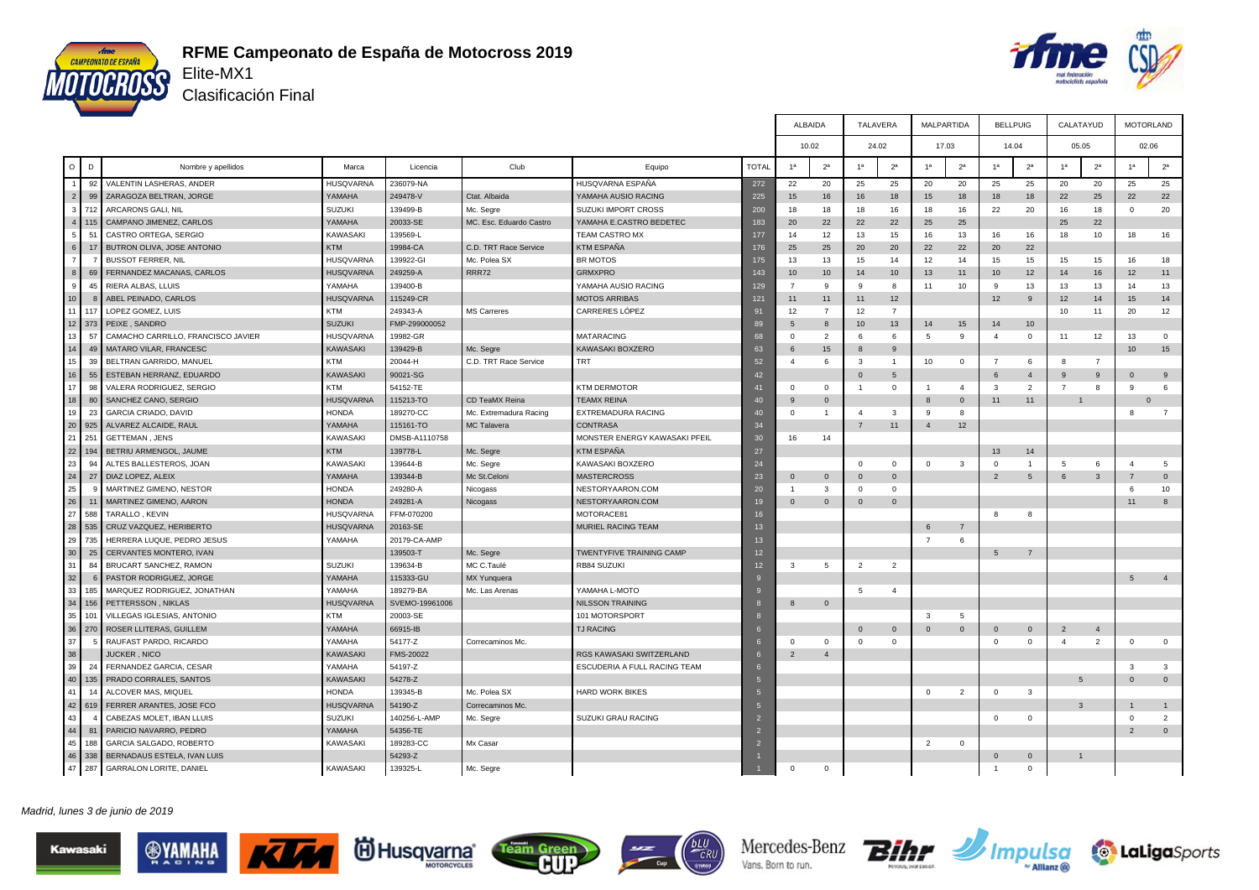



Clasificación Final

|                                  |                                    |                  |                |                         |                               |                |                 | <b>ALBAIDA</b>   |                | <b>TALAVERA</b> | <b>MALPARTIDA</b> |                | <b>BELLPUIG</b>  |                  |                | CALATAYUD      |                  | <b>MOTORLAND</b> |
|----------------------------------|------------------------------------|------------------|----------------|-------------------------|-------------------------------|----------------|-----------------|------------------|----------------|-----------------|-------------------|----------------|------------------|------------------|----------------|----------------|------------------|------------------|
|                                  |                                    |                  |                |                         |                               |                |                 | 10.02            |                | 24.02           | 17.03             |                | 14.04            |                  |                | 05.05          |                  | 02.06            |
| D<br>$\circ$                     | Nombre y apellidos                 | Marca            | Licencia       | Club                    | Equipo                        | <b>TOTAL</b>   | 1 <sup>a</sup>  | 2 <sup>a</sup>   | 1 <sup>a</sup> | 2 <sup>a</sup>  | 1 <sup>a</sup>    | 2 <sup>a</sup> | 1 <sup>a</sup>   | 2 <sup>a</sup>   | 1 <sup>a</sup> | 2 <sup>a</sup> | 1 <sup>a</sup>   | 2 <sup>a</sup>   |
| $\overline{1}$<br>92             | VALENTIN LASHERAS, ANDER           | <b>HUSQVARNA</b> | 236079-NA      |                         | HUSQVARNA ESPAÑA              | 272            | 22              | 20               | 25             | 25              | 20                | 20             | 25               | 25               | 20             | 20             | 25               | 25               |
| $\vert$ 2<br>99                  | ZARAGOZA BELTRAN, JORGE            | YAMAHA           | 249478-V       | Ctat. Albaida           | YAMAHA AUSIO RACING           | 225            | 15              | 16               | 16             | 18              | 15                | 18             | 18               | 18               | 22             | 25             | 22               | 22               |
| 3<br>71                          | ARCARONS GALI, NIL                 | <b>SUZUKI</b>    | 139499-B       | Mc. Segre               | SUZUKI IMPORT CROSS           | 200            | 18              | 18               | 18             | 16              | 18                | 16             | 22               | 20               | 16             | 18             | $\Omega$         | 20               |
| $\overline{4}$<br>115            | CAMPANO JIMENEZ, CARLOS            | YAMAHA           | 20033-SE       | MC. Esc. Eduardo Castro | YAMAHA E.CASTRO BEDETEC       | 183            | 20              | 22               | 22             | 22              | 25                | 25             |                  |                  | 25             | 22             |                  |                  |
| 5 <sup>1</sup><br>$\overline{5}$ | CASTRO ORTEGA, SERGIO              | <b>KAWASAKI</b>  | 139569-L       |                         | <b>TEAM CASTRO MX</b>         | 177            | 14              | 12               | 13             | 15              | 16                | 13             | 16               | 16               | 18             | 10             | 18               | 16               |
| 6                                | BUTRON OLIVA, JOSE ANTONIO         | <b>KTM</b>       | 19984-CA       | C.D. TRT Race Service   | KTM ESPAÑA                    | 176            | 25              | 25               | 20             | 20              | 22                | 22             | 20               | 22               |                |                |                  |                  |
| $\overline{7}$                   | <b>BUSSOT FERRER, NIL</b>          | <b>HUSQVARNA</b> | 139922-GI      | Mc. Polea SX            | <b>BR MOTOS</b>               | 175            | 13              | 13               | 15             | 14              | 12                | 14             | 15               | 15               | 15             | 15             | 16               | 18               |
| 8 <sup>1</sup><br>69             | FERNANDEZ MACANAS, CARLOS          | <b>HUSQVARNA</b> | 249259-A       | RRR72                   | <b>GRMXPRO</b>                | 143            | 10 <sup>1</sup> | 10 <sup>10</sup> | 14             | 10              | 13                | 11             | 10 <sup>10</sup> | 12               | 14             | 16             | 12               | 11               |
| 9<br>$\mathbf{A}$                | RIERA ALBAS, LLUIS                 | YAMAHA           | 139400-B       |                         | YAMAHA AUSIO RACING           | 129            | $\overline{7}$  | <b>q</b>         | <b>q</b>       | -8              | 11                | 10             | -9               | 13               | 13             | 13             | 14               | 13               |
| 10                               | ABEL PEINADO, CARLOS               | <b>HUSQVARNA</b> | 115249-CR      |                         | <b>MOTOS ARRIBAS</b>          | 121            | 11              | 11               | 11             | 12              |                   |                | 12               | 9                | 12             | 14             | 15               | 14               |
| 11<br>11                         | LOPEZ GOMEZ, LUIS                  | <b>KTM</b>       | 249343-A       | <b>MS Carreres</b>      | <b>CARRERES LÓPEZ</b>         | 91             | 12              | $\overline{7}$   | 12             | $\overline{7}$  |                   |                |                  |                  | 10             | 11             | 20               | 12               |
| 12<br>373                        | PEIXE, SANDRO                      | <b>SUZUKI</b>    | FMP-299000052  |                         |                               | 89             | $\sqrt{5}$      | 8                | 10             | 13              | 14                | 15             | 14               | 10 <sup>10</sup> |                |                |                  |                  |
| 13<br>57                         | CAMACHO CARRILLO, FRANCISCO JAVIER | <b>HUSQVARNA</b> | 19982-GR       |                         | MATARACING                    | 68             | $\Omega$        | 2                | $\epsilon$     | -6              | 5                 | 9              | $\mathbf{A}$     | $\Omega$         | 11             | 12             | 13               | $\mathbf 0$      |
| 14<br>4 <sup>5</sup>             | MATARO VILAR, FRANCESC             | <b>KAWASAKI</b>  | 139429-B       | Mc. Segre               | KAWASAKI BOXZERO              | 63             | -6              | 15               | $\mathbf{8}$   | 9               |                   |                |                  |                  |                |                | 10 <sup>10</sup> | 15               |
| 15<br>39                         | BELTRAN GARRIDO, MANUEL            | <b>KTM</b>       | 20044-H        | C.D. TRT Race Service   | TRT                           | 52             | $\overline{4}$  | 6                | $\mathbf{3}$   | $\overline{1}$  | 10                | $\mathbf 0$    | $\overline{7}$   | 6                | 8              | $\overline{7}$ |                  |                  |
| 16<br>55                         | ESTEBAN HERRANZ, EDUARDO           | KAWASAKI         | 90021-SG       |                         |                               | 42             |                 |                  | $\Omega$       | $5\phantom{.0}$ |                   |                | 6                | $\overline{4}$   | 9              | 9              | $\Omega$         | 9                |
| 17<br>98                         | VALERA RODRIGUEZ, SERGIO           | <b>KTM</b>       | 54152-TE       |                         | <b>KTM DERMOTOR</b>           | 41             | $\Omega$        | $\mathbf{0}$     | $\overline{1}$ | $\Omega$        | $\overline{1}$    | $\overline{4}$ | $\mathbf{3}$     | $\overline{2}$   | $\overline{7}$ | 8              | 9                | 6                |
| 18<br>80                         | SANCHEZ CANO, SERGIO               | <b>HUSQVARNA</b> | 115213-TO      | CD TeaMX Reina          | TEAMX REINA                   | 40             | -9              | $\Omega$         |                |                 | $\mathbf{8}$      | $\mathbf{0}$   | 11               | 11               |                |                |                  | $\Omega$         |
| 19<br>23                         | <b>GARCIA CRIADO, DAVID</b>        | <b>HONDA</b>     | 189270-CC      | Mc. Extremadura Racing  | EXTREMADURA RACING            | 40             | $\Omega$        | $\overline{1}$   | $\mathbf{A}$   | $\mathbf{3}$    | -9                | $\mathbf{g}$   |                  |                  |                |                | $\mathbf{R}$     | $\overline{7}$   |
| 20<br>925                        | ALVAREZ ALCAIDE, RAUL              | YAMAHA           | 115161-TO      | MC Talavera             | <b>CONTRASA</b>               | 34             |                 |                  | $\overline{7}$ | 11              | $\overline{4}$    | 12             |                  |                  |                |                |                  |                  |
| 21<br>251                        | <b>GETTEMAN, JENS</b>              | <b>KAWASAKI</b>  | DMSB-A1110758  |                         | MONSTER ENERGY KAWASAKI PFEIL | 30             | 16              | 14               |                |                 |                   |                |                  |                  |                |                |                  |                  |
| 22<br>194                        | BETRIU ARMENGOL, JAUME             | <b>KTM</b>       | 139778-L       | Mc. Segre               | KTM ESPAÑA                    | 27             |                 |                  |                |                 |                   |                | 13               | 14               |                |                |                  |                  |
| 23<br>94                         | ALTES BALLESTEROS, JOAN            | <b>KAWASAKI</b>  | 139644-B       | Mc. Segre               | KAWASAKI BOXZERO              | 24             |                 |                  | $\Omega$       | $\Omega$        | $^{\circ}$        | $\mathbf{3}$   | $\Omega$         | $\overline{1}$   | 5              | 6              | $\mathbf{A}$     | 5                |
| 24<br>$\overline{2}$             | DIAZ LOPEZ, ALEIX                  | YAMAHA           | 139344-B       | Mc St.Celoni            | <b>MASTERCROSS</b>            | 23             | $\Omega$        | $\overline{0}$   | $\mathbf{0}$   | $\mathbf{0}$    |                   |                | $\overline{2}$   | 5                | 6              | $\mathbf{3}$   |                  | $\overline{0}$   |
| 25                               | MARTINEZ GIMENO, NESTOR            | <b>HONDA</b>     | 249280-A       | Nicogass                | NESTORYAARON.COM              | 20             |                 | 3                | $\Omega$       | $\mathbf 0$     |                   |                |                  |                  |                |                |                  | 10               |
| 26                               | MARTINEZ GIMENO, AARON             | <b>HONDA</b>     | 249281-A       | Nicogass                | NESTORYAARON.COM              | 19             | $\Omega$        | $\Omega$         | $\Omega$       | $\mathbf{0}$    |                   |                |                  |                  |                |                | 11               | 8                |
| 27<br>588                        | TARALLO, KEVIN                     | <b>HUSQVARNA</b> | FFM-070200     |                         | MOTORACE81                    | 16             |                 |                  |                |                 |                   |                | $\mathbf{R}$     | 8                |                |                |                  |                  |
| 28<br>535                        | CRUZ VAZQUEZ, HERIBERTO            | <b>HUSQVARNA</b> | 20163-SE       |                         | MURIEL RACING TEAM            | 13             |                 |                  |                |                 | 6                 | $\overline{7}$ |                  |                  |                |                |                  |                  |
| 29<br>735                        | HERRERA LUQUE, PEDRO JESUS         | YAMAHA           | 20179-CA-AMP   |                         |                               | 13             |                 |                  |                |                 | $\overline{7}$    | 6              |                  |                  |                |                |                  |                  |
| 30<br>25                         | CERVANTES MONTERO, IVAN            |                  | 139503-T       | Mc. Segre               | TWENTYFIVE TRAINING CAMP      | 12             |                 |                  |                |                 |                   |                | 5                | $\overline{7}$   |                |                |                  |                  |
| 31<br>84                         | BRUCART SANCHEZ, RAMON             | <b>SUZUKI</b>    | 139634-B       | MC C.Taulé              | RB84 SUZUKI                   | 12             | 3               | 5                | $\overline{2}$ | $\overline{2}$  |                   |                |                  |                  |                |                |                  |                  |
| 32                               | PASTOR RODRIGUEZ, JORGE            | YAMAHA           | 115333-GU      | MX Yunquera             |                               |                |                 |                  |                |                 |                   |                |                  |                  |                |                | 5                | $\overline{4}$   |
| 33<br>185                        | MARQUEZ RODRIGUEZ, JONATHAN        | YAMAHA           | 189279-BA      | Mc. Las Arenas          | YAMAHA L-MOTO                 |                |                 |                  | -5             | $\overline{4}$  |                   |                |                  |                  |                |                |                  |                  |
| 34<br>156                        | PETTERSSON, NIKLAS                 | <b>HUSQVARNA</b> | SVEMO-19961006 |                         | <b>NILSSON TRAINING</b>       |                | $\mathbf{8}$    | $\Omega$         |                |                 |                   |                |                  |                  |                |                |                  |                  |
| 35<br>101                        | VILLEGAS IGLESIAS, ANTONIO         | KTM              | 20003-SE       |                         | 101 MOTORSPORT                |                |                 |                  |                |                 | -3                | -5             |                  |                  |                |                |                  |                  |
| 36<br>270                        | ROSER LLITERAS, GUILLEM            | YAMAHA           | 66915-IB       |                         | <b>TJ RACING</b>              |                |                 |                  | $\Omega$       | $\mathbf{0}$    | $\Omega$          | $\mathbf 0$    | $\overline{0}$   | $\overline{0}$   | $\overline{2}$ | $\overline{4}$ |                  |                  |
| 37                               | RAUFAST PARDO, RICARDO             | YAMAHA           | 54177-Z        | Correcaminos Mc.        |                               |                | $\Omega$        | $\Omega$         | $\Omega$       | $\Omega$        |                   |                | $\Omega$         | $\mathbf 0$      | $\overline{4}$ | $\overline{2}$ | $\Omega$         | $\mathbf{0}$     |
| 38                               | <b>JUCKER, NICO</b>                | <b>KAWASAKI</b>  | FMS-20022      |                         | RGS KAWASAKI SWITZERLAND      |                | $\overline{2}$  | $\overline{4}$   |                |                 |                   |                |                  |                  |                |                |                  |                  |
| 39<br>24                         | FERNANDEZ GARCIA, CESAR            | YAMAHA           | 54197-Z        |                         | ESCUDERIA A FULL RACING TEAM  |                |                 |                  |                |                 |                   |                |                  |                  |                |                | 3                | 3                |
| 40<br>135                        | PRADO CORRALES, SANTOS             | <b>KAWASAKI</b>  | 54278-Z        |                         |                               | $\overline{5}$ |                 |                  |                |                 |                   |                |                  |                  |                | 5 <sup>5</sup> | $\Omega$         | $\mathbf 0$      |
| 41                               | ALCOVER MAS, MIQUEL                | <b>HONDA</b>     | 139345-B       | Mc. Polea SX            | <b>HARD WORK BIKES</b>        | 5 <sub>5</sub> |                 |                  |                |                 | $\mathbf{0}$      | 2              | $\mathbf 0$      | $\mathbf{3}$     |                |                |                  |                  |
| 42<br>619                        | FERRER ARANTES, JOSE FCO           | <b>HUSQVARNA</b> | 54190-Z        | Correcaminos Mc.        |                               | $\sqrt{5}$     |                 |                  |                |                 |                   |                |                  |                  |                | 3              |                  | $\overline{1}$   |
| 43                               | CABEZAS MOLET, IBAN LLUIS          | <b>SUZUKI</b>    | 140256-L-AMP   | Mc. Segre               | SUZUKI GRAU RACING            | $\overline{2}$ |                 |                  |                |                 |                   |                | $\mathbf 0$      | $\mathbf 0$      |                |                | $\Omega$         | $\overline{2}$   |
| 44<br>$\mathcal{B}$              | PARICIO NAVARRO, PEDRO             | YAMAHA           | 54356-TE       |                         |                               |                |                 |                  |                |                 |                   |                |                  |                  |                |                |                  | $\overline{0}$   |
| 45<br>188                        | GARCIA SALGADO, ROBERTO            | <b>KAWASAKI</b>  | 189283-CC      | Mx Casar                |                               |                |                 |                  |                |                 | $\overline{2}$    | $\Omega$       |                  |                  |                |                |                  |                  |
| 46<br>338                        | BERNADAUS ESTELA, IVAN LUIS        |                  | 54293-Z        |                         |                               |                |                 |                  |                |                 |                   |                | $\overline{0}$   | $\overline{0}$   |                |                |                  |                  |
| 47 287                           | GARRALON LORITE, DANIEL            | KAWASAKI         | 139325-L       | Mc. Segre               |                               |                |                 | $\Omega$         |                |                 |                   |                | $\overline{1}$   | $\Omega$         |                |                |                  |                  |
|                                  |                                    |                  |                |                         |                               |                |                 |                  |                |                 |                   |                |                  |                  |                |                |                  |                  |

#### Madrid, lunes 3 de junio de 2019







K









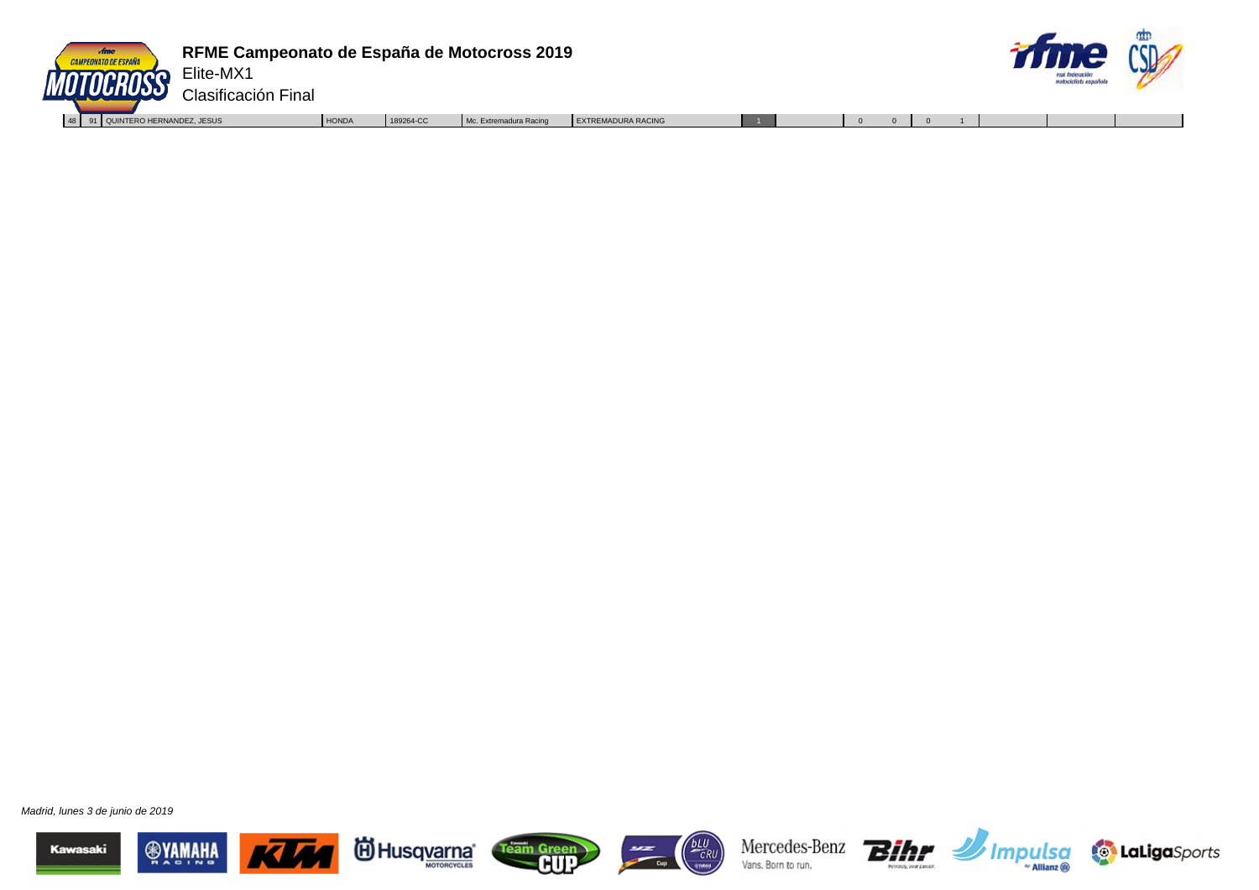



Elite-MX1 Clasificación Final

48 91 QUINTERO HERNANDEZ, JESUS | HONDA | 189264-CC Mc. Extremadura Racing | EXTREMADURA RACING | 1 0 0 0 1

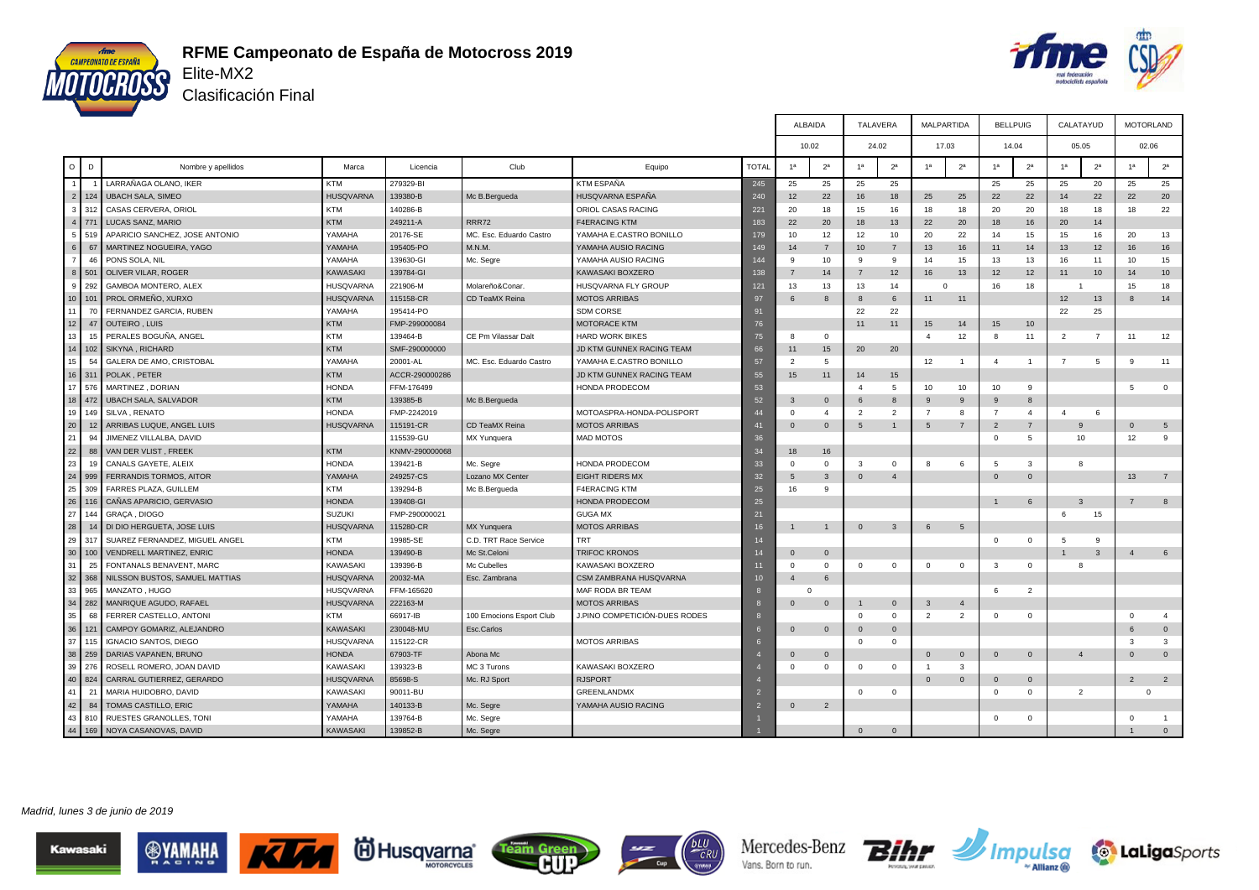



Clasificación Final

| 10.02<br>24.02                                                                                                                                                                                          | 17.03                            | 14.04                            | 05.05                            |                                  |
|---------------------------------------------------------------------------------------------------------------------------------------------------------------------------------------------------------|----------------------------------|----------------------------------|----------------------------------|----------------------------------|
|                                                                                                                                                                                                         |                                  |                                  |                                  | 02.06                            |
| D<br>Club<br>1 <sup>a</sup><br>2 <sup>a</sup><br>$\circ$<br>Marca<br><b>TOTAL</b><br>1 <sup>a</sup><br>2 <sup>a</sup><br>Nombre y apellidos<br>Licencia<br>Equipo                                       | 2 <sup>a</sup><br>1 <sup>a</sup> | 1 <sup>a</sup><br>2 <sup>a</sup> | 1 <sup>a</sup><br>2 <sup>a</sup> | 1 <sup>a</sup><br>2 <sup>a</sup> |
| LARRAÑAGA OLANO, IKER<br><b>KTM</b><br>279329-BI<br><b>KTM ESPAÑA</b><br>245<br>25<br>25<br>25<br>25<br>$\overline{1}$                                                                                  |                                  | 25<br>25                         | 25<br>20                         | 25<br>25                         |
| 2<br><b>UBACH SALA, SIMEO</b><br><b>HUSQVARNA</b><br>139380-B<br>Mc B.Bergueda<br>HUSQVARNA ESPAÑA<br>124<br>240<br>12<br>22<br>16<br>18                                                                | 25<br>25                         | 22<br>22                         | 14<br>22                         | 20<br>22                         |
| 3<br><b>KTM</b><br>140286-B<br>ORIOL CASAS RACING<br>CASAS CERVERA, ORIOL<br>18<br>20<br>15<br>16<br>221                                                                                                | 18<br>18                         | 20<br>20                         | 18<br>18                         | 22<br>18                         |
| 4<br><b>KTM</b><br><b>F4ERACING KTM</b><br>771<br>LUCAS SANZ, MARIO<br>249211-A<br><b>RRR72</b><br>20<br>183<br>22<br>18<br>13                                                                          | 22<br>20                         | 18<br>16                         | 14<br>20                         |                                  |
| 20176-SE<br>APARICIO SANCHEZ, JOSE ANTONIO<br>YAMAHA E.CASTRO BONILLO<br>12<br>5 <sup>1</sup><br>YAMAHA<br>MC. Esc. Eduardo Castro<br>12<br>519<br>179<br>10<br>10                                      | 22<br>20                         | 14<br>15                         | 16<br>15                         | 20<br>13                         |
| 6<br>MARTINEZ NOGUEIRA, YAGO<br>195405-PO<br>YAMAHA AUSIO RACING<br>67<br>YAMAHA<br>M.N.M.<br>149<br>$\overline{7}$<br>10<br>$\overline{7}$<br>14                                                       | 13<br>16                         | 11<br>14                         | 13<br>12                         | 16<br>16                         |
| 7 <sup>1</sup><br>46<br>PONS SOLA, NIL<br>YAMAHA<br>139630-GI<br>Mc. Segre<br>YAMAHA AUSIO RACING<br>10<br>-9<br>144<br>-9<br>-9                                                                        | 15<br>14                         | 13<br>13                         | 16<br>11                         | 15<br>10                         |
| 8<br>OLIVER VILAR, ROGER<br>139784-GI<br>501<br><b>KAWASAKI</b><br>KAWASAKI BOXZERO<br>138<br>14<br>$\overline{7}$<br>12<br>$\overline{7}$                                                              | 16<br>13                         | 12<br>12                         | 11<br>10                         | 10<br>14                         |
| 9<br>292<br>GAMBOA MONTERO, ALEX<br><b>HUSQVARNA</b><br>221906-M<br>HUSQVARNA FLY GROUP<br>13<br>13<br>Molareño&Conar.<br>121<br>13<br>14                                                               | $\Omega$                         | 16<br>18                         |                                  | 18<br>15                         |
| 10 <sup>1</sup><br>101<br>PROL ORMEÑO, XURXO<br><b>HUSQVARNA</b><br>115158-CR<br><b>MOTOS ARRIBAS</b><br>CD TeaMX Reina<br>97<br>8<br>$\mathbf{8}$<br>6<br>6                                            | 11<br>11                         |                                  | 12<br>13                         | 14<br>8                          |
| 11<br>70<br>FERNANDEZ GARCIA, RUBEN<br>YAMAHA<br>195414-PO<br><b>SDM CORSE</b><br>91<br>22<br>22                                                                                                        |                                  |                                  | 22<br>25                         |                                  |
| 12<br><b>KTM</b><br>47<br><b>OUTEIRO, LUIS</b><br>FMP-299000084<br><b>MOTORACE KTM</b><br>76<br>11<br>11                                                                                                | 14<br>15                         | 15<br>10                         |                                  |                                  |
| 13<br>PERALES BOGUÑA, ANGEL<br>KTM<br>139464-B<br>CE Pm Vilassar Dalt<br><b>HARD WORK BIKES</b><br>75<br>$\mathbf 0$<br>$\overline{4}$<br>-8                                                            | 12                               | 8<br>11                          | $\overline{7}$<br>$\overline{2}$ | 12<br>11                         |
| 14<br><b>KTM</b><br>SMF-290000000<br>102<br>SIKYNA, RICHARD<br>JD KTM GUNNEX RACING TEAM<br>15<br>20<br>20<br>66<br>11                                                                                  |                                  |                                  |                                  |                                  |
| 15<br>54<br>GALERA DE AMO, CRISTOBAL<br>YAMAHA<br>20001-AL<br>MC. Esc. Eduardo Castro<br>YAMAHA E.CASTRO BONILLO<br>57<br>$5^{\circ}$<br>2                                                              | 12<br>$\overline{1}$             | $\overline{4}$<br>$\overline{1}$ | $\overline{7}$<br>5              | 11<br>9                          |
| 16 311<br><b>KTM</b><br>POLAK, PETER<br>ACCR-290000286<br>JD KTM GUNNEX RACING TEAM<br>55<br>15<br>11<br>14<br>15                                                                                       |                                  |                                  |                                  |                                  |
| 17<br>576<br>MARTINEZ, DORIAN<br><b>HONDA</b><br>FFM-176499<br>HONDA PRODECOM<br>53<br>$\overline{4}$<br>5                                                                                              | 10<br>10                         | 10<br>9                          |                                  | $\overline{0}$<br>5              |
| 18<br>472<br><b>UBACH SALA, SALVADOR</b><br><b>KTM</b><br>139385-B<br>52<br>Mc B.Bergueda<br>$\overline{3}$<br>$\mathbf{0}$<br>6<br>8<br>9                                                              | 9                                | 9<br>8                           |                                  |                                  |
| 19<br>SILVA, RENATO<br>FMP-2242019<br>149<br><b>HONDA</b><br>MOTOASPRA-HONDA-POLISPORT<br>44<br>$\overline{2}$<br>$\overline{2}$<br>$\overline{7}$<br>$\Omega$<br>$\overline{4}$                        | 8                                | $\overline{7}$<br>$\overline{4}$ | $\overline{4}$<br>6              |                                  |
| 20<br>ARRIBAS LUQUE, ANGEL LUIS<br>12<br><b>HUSQVARNA</b><br>115191-CR<br>CD TeaMX Reina<br><b>MOTOS ARRIBAS</b><br>$\Omega$<br>$\mathbf{0}$<br>5<br>$\overline{1}$<br>5<br>41                          | $\overline{7}$                   | $\overline{2}$<br>$\overline{7}$ | $\mathbf{Q}$                     | $\Omega$<br>5                    |
| 21<br>94<br>JIMENEZ VILLALBA, DAVID<br>115539-GU<br>MX Yunquera<br><b>MAD MOTOS</b><br>36                                                                                                               |                                  | $\mathbf 0$<br>5                 | 10                               | 12<br>-9                         |
| 22<br><b>KTM</b><br>VAN DER VLIST, FREEK<br>KNMV-290000068<br>88<br>34<br>18<br>16                                                                                                                      |                                  |                                  |                                  |                                  |
| 23<br>CANALS GAYETE, ALEIX<br><b>HONDA</b><br>139421-B<br>Mc. Segre<br>HONDA PRODECOM<br>$\mathbf{3}$<br>33<br>$\Omega$<br>$\Omega$<br>$^{\circ}$<br>R                                                  | 6                                | 5<br>$\mathbf{3}$                | 8                                |                                  |
| 24<br>FERRANDIS TORMOS, AITOR<br>YAMAHA<br>249257-CS<br><b>EIGHT RIDERS MX</b><br>999<br>Lozano MX Center<br>32<br>$\mathbf{3}$<br>$\Omega$<br>$\overline{4}$<br>-5                                     |                                  | $\Omega$<br>$\mathbf 0$          |                                  | 13<br>$\overline{7}$             |
| 25<br><b>KTM</b><br>139294-B<br>FARRES PLAZA, GUILLEM<br><b>F4ERACING KTM</b><br>9<br>309<br>Mc B.Bergueda<br>25<br>16                                                                                  |                                  |                                  |                                  |                                  |
| 26<br>CAÑAS APARICIO, GERVASIO<br><b>HONDA</b><br>139408-GI<br>HONDA PRODECOM<br>25<br>116                                                                                                              |                                  | 6<br>$\overline{1}$              | $\mathbf{3}$                     | 8<br>$\overline{7}$              |
| 27<br>GRAÇA, DIOGO<br><b>SUZUKI</b><br>FMP-290000021<br><b>GUGA MX</b><br>14.<br>21                                                                                                                     |                                  |                                  | 6<br>15                          |                                  |
| 28<br>DI DIO HERGUETA, JOSE LUIS<br><b>MOTOS ARRIBAS</b><br><b>HUSQVARNA</b><br>115280-CR<br>$\Omega$<br>$\overline{3}$<br>MX Yunquera<br>16<br>$\overline{1}$<br>6<br>1 <sub>1</sub><br>$\overline{1}$ | 5                                |                                  |                                  |                                  |
| 29<br><b>KTM</b><br>19985-SE<br><b>TRT</b><br>SUAREZ FERNANDEZ, MIGUEL ANGEL<br>C.D. TRT Race Service<br>317<br>14                                                                                      |                                  | $\mathbf{0}$<br>$\overline{0}$   | 5<br>9                           |                                  |
| 30<br>139490-B<br>100<br><b>VENDRELL MARTINEZ, ENRIC</b><br><b>HONDA</b><br>Mc St.Celoni<br>TRIFOC KRONOS<br>$\overline{0}$<br>14<br>$\Omega$                                                           |                                  |                                  | 3                                | 6<br>$\overline{a}$              |
| 31<br>25<br>FONTANALS BENAVENT, MARC<br><b>KAWASAKI</b><br>139396-B<br>Mc Cubelles<br>KAWASAKI BOXZERO<br>$\mathbf{0}$<br>$^{\circ}$<br>$\mathbf{0}$<br>$^{\circ}$<br>$\Omega$<br>11                    | $\overline{0}$                   | $\mathbf{3}$<br>$\mathbf 0$      | $\mathbf{R}$                     |                                  |
| 32<br>368<br>NILSSON BUSTOS, SAMUEL MATTIAS<br><b>HUSQVARNA</b><br>20032-MA<br>Esc. Zambrana<br>CSM ZAMBRANA HUSQVARNA<br>6<br>10<br>$\overline{4}$                                                     |                                  |                                  |                                  |                                  |
| 33<br>965<br>MANZATO, HUGO<br><b>HUSQVARNA</b><br>FFM-165620<br>MAF RODA BR TEAM<br>$\Omega$<br>-8                                                                                                      |                                  | 6<br>$\overline{2}$              |                                  |                                  |
| 34<br>282<br>MANRIQUE AGUDO, RAFAEL<br><b>HUSQVARNA</b><br>222163-M<br><b>MOTOS ARRIBAS</b><br>$\mathbf{0}$<br>$\Omega$<br>$\mathbf{8}$<br>$\mathbf{0}$<br>$\mathbf{3}$                                 | $\overline{4}$                   |                                  |                                  |                                  |
| 35<br>68<br>FERRER CASTELLO, ANTONI<br><b>KTM</b><br>66917-IB<br>J.PINO COMPETICIÓN-DUES RODES<br>$\overline{2}$<br>100 Emocions Esport Club<br>$\Omega$<br>$\mathbf{0}$<br>-8                          | $\overline{2}$                   | $\mathbf{0}$<br>$\overline{0}$   |                                  | $\Omega$<br>$\overline{4}$       |
| 36<br>121<br>CAMPOY GOMARIZ, ALEJANDRO<br>KAWASAKI<br>230048-MU<br>$\mathbf 0$<br>$\overline{0}$<br>Esc.Carlos<br>$\Omega$<br>$\Omega$<br>-6                                                            |                                  |                                  |                                  | $\overline{0}$                   |
| 37<br>115<br>IGNACIO SANTOS, DIEGO<br><b>HUSQVARNA</b><br>115122-CR<br><b>MOTOS ARRIBAS</b><br>$\Omega$<br>$\mathbf{0}$                                                                                 |                                  |                                  |                                  | $\mathbf{3}$<br>3                |
| 38<br>259<br>DARIAS VAPANEN, BRUNO<br><b>HONDA</b><br>67903-TF<br>Abona Mc<br>$\overline{0}$<br>$\Omega$<br>$\mathbf{0}$                                                                                | $\mathbf 0$                      | $\mathbf{0}$<br>$\overline{0}$   | $\mathbf{A}$                     | $\overline{0}$<br>$\Omega$       |
| 39<br>139323-B<br>ROSELL ROMERO, JOAN DAVID<br>KAWASAKI<br>KAWASAKI BOXZERO<br>276<br>MC 3 Turons<br>$\Omega$<br>$\circ$<br>$\Omega$<br>$^{\circ}$                                                      | 3                                |                                  |                                  |                                  |
| 40<br>CARRAL GUTIERREZ, GERARDO<br>85698-S<br><b>RJSPORT</b><br>824<br><b>HUSQVARNA</b><br>Mc. RJ Sport<br>$\Omega$                                                                                     | $\mathbf 0$                      | $\overline{0}$<br>$\mathbf{0}$   |                                  | $\overline{2}$<br>$\overline{2}$ |
| 41<br>21<br><b>KAWASAKI</b><br>90011-BU<br>MARIA HUIDOBRO, DAVID<br>GREENLANDMX<br>$\Omega$<br>$\mathbf 0$                                                                                              |                                  | $\mathbf 0$<br>$\mathbf 0$       | $\overline{2}$                   | $\Omega$                         |
| 42<br>TOMAS CASTILLO, ERIC<br>140133-B<br>YAMAHA AUSIO RACING<br>8<br>YAMAHA<br>Mc. Segre<br>$\overline{2}$<br>$\Omega$                                                                                 |                                  |                                  |                                  |                                  |
| 43<br>RUESTES GRANOLLES, TONI<br>810<br>YAMAHA<br>139764-B<br>Mc. Segre                                                                                                                                 |                                  | $\Omega$<br>$\overline{0}$       |                                  | $\Omega$<br>$\overline{1}$       |
| 44<br>NOYA CASANOVAS, DAVID<br><b>KAWASAKI</b><br>139852-B<br>169<br>Mc. Segre<br>$\Omega$<br>$\overline{0}$                                                                                            |                                  |                                  |                                  | $\mathbf{0}$                     |

Madrid, lunes 3 de junio de 2019











Mercedes-Benz Vans. Born to run.



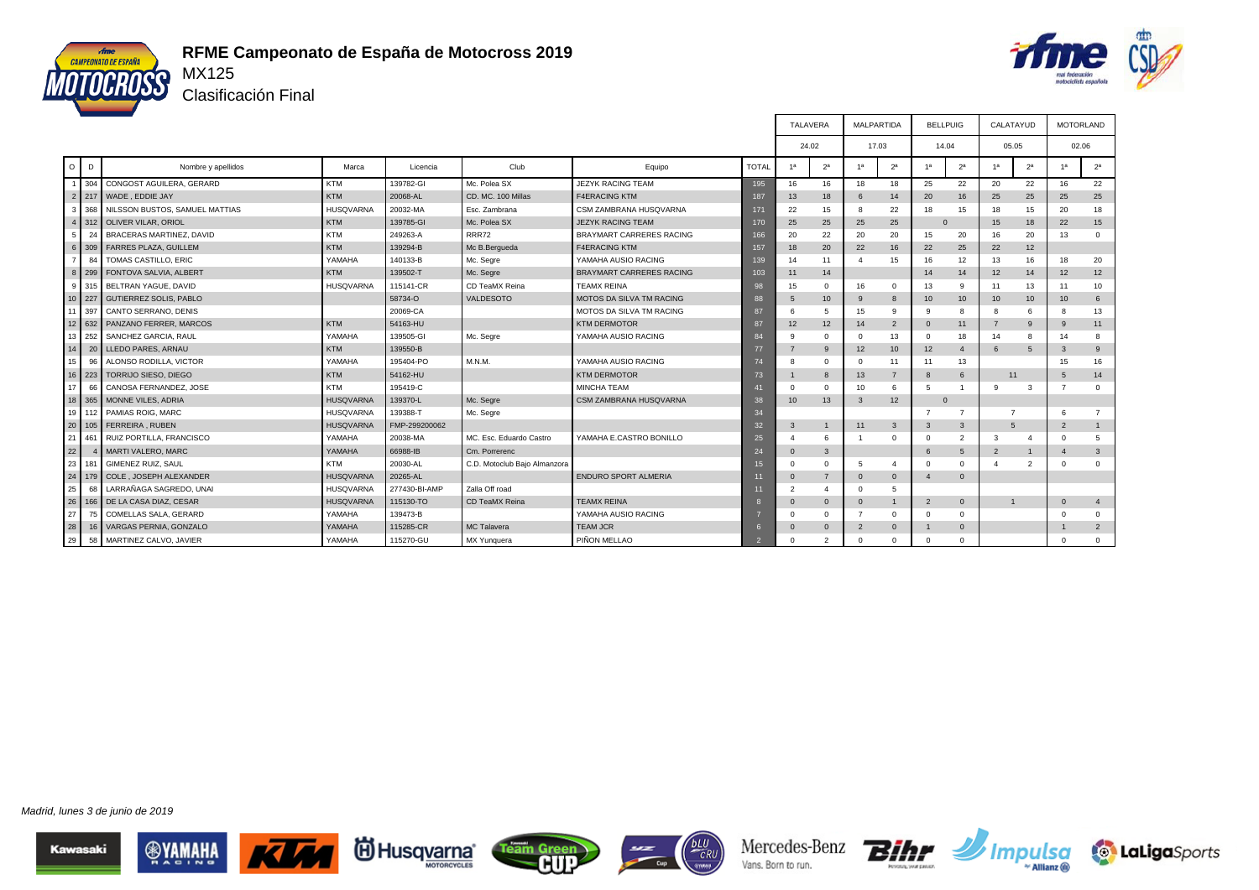

id Husq<u>varna</u>®

Team Green



т

т

Clasificación Final

|                 |        |                                |                  |               |                              |                                 |              | TALAVERA         |                  | MALPARTIDA              |                  | <b>BELLPUIG</b> |                | CALATAYUD      |                |                 | <b>MOTORLAND</b> |
|-----------------|--------|--------------------------------|------------------|---------------|------------------------------|---------------------------------|--------------|------------------|------------------|-------------------------|------------------|-----------------|----------------|----------------|----------------|-----------------|------------------|
|                 |        |                                |                  |               |                              |                                 |              | 24.02            |                  | 17.03                   |                  | 14.04           |                | 05.05          |                |                 | 02.06            |
| $\circ$         | D      | Nombre y apellidos             | Marca            | Licencia      | Club                         | Equipo                          | <b>TOTAL</b> | 1 <sup>a</sup>   | 2 <sup>a</sup>   | 1a                      | 2 <sup>a</sup>   | 1 <sup>a</sup>  | 2 <sup>a</sup> | 1 <sup>a</sup> | 2 <sup>a</sup> | 1 <sup>a</sup>  | 2 <sup>a</sup>   |
|                 | 304    | CONGOST AGUILERA, GERARD       | <b>KTM</b>       | 139782-GI     | Mc. Polea SX                 | <b>JEZYK RACING TEAM</b>        | 195          | 16               | 16               | 18                      | 18               | 25              | 22             | 20             | 22             | 16              | 22               |
|                 |        | 2 217 WADE, EDDIE JAY          | <b>KTM</b>       | 20068-AL      | CD, MC, 100 Millas           | <b>F4ERACING KTM</b>            | 187          | 13               | 18               | 6                       | 14               | 20              | 16             | 25             | 25             | 25              | 25               |
| 3               | 368    | NILSSON BUSTOS, SAMUEL MATTIAS | <b>HUSQVARNA</b> | 20032-MA      | Esc. Zambrana                | CSM ZAMBRANA HUSQVARNA          | 171          | 22               | 15               | -8                      | 22               | 18              | 15             | 18             | 15             | 20              | 18               |
|                 |        | 312 OLIVER VILAR, ORIOL        | <b>KTM</b>       | 139785-GI     | Mc. Polea SX                 | <b>JEZYK RACING TEAM</b>        | 170          | 25               | 25               | 25                      | 25               |                 |                | 15             | 18             | 22              | 15               |
| 5               | 24     | BRACERAS MARTINEZ, DAVID       | <b>KTM</b>       | 249263-A      | <b>RRR72</b>                 | <b>BRAYMART CARRERES RACING</b> | 166          | 20               | 22               | 20                      | 20               | 15              | 20             | 16             | 20             | 13              | $\mathbf 0$      |
| 6               |        | 309 FARRES PLAZA, GUILLEM      | <b>KTM</b>       | 139294-B      | Mc B.Bergueda                | <b>F4ERACING KTM</b>            | 157          | 18               | 20               | 22                      | 16               | 22              | 25             | 22             | 12             |                 |                  |
|                 | 84     | TOMAS CASTILLO, ERIC           | YAMAHA           | 140133-B      | Mc. Segre                    | YAMAHA AUSIO RACING             | 139          | 14               | 11               |                         | 15               | 16              | 12             | 13             | 16             | 18              | 20               |
| $\mathbf{8}$    | 299    | FONTOVA SALVIA, ALBERT         | <b>KTM</b>       | 139502-T      | Mc. Segre                    | <b>BRAYMART CARRERES RACING</b> | 103          | 11               | 14               |                         |                  | 14              | 14             | 12             | 14             | 12              | 12               |
| 9               | 315    | BELTRAN YAGUE, DAVID           | <b>HUSQVARNA</b> | 115141-CR     | CD TeaMX Reina               | <b>TEAMX REINA</b>              | 98           | 15               | $\mathbf{0}$     | 16                      | $\mathbf 0$      | 13              | 9              | 11             | 13             | 11              | 10               |
|                 | 10 227 | <b>GUTIERREZ SOLIS, PABLO</b>  |                  | 58734-O       | <b>VALDESOTO</b>             | MOTOS DA SILVA TM RACING        | 88           |                  | 10 <sup>10</sup> | 9                       | $\mathbf{g}$     | 10              | 10             | 10             | 10             | 10 <sup>1</sup> | 6                |
|                 | 11 397 | CANTO SERRANO, DENIS           |                  | 20069-CA      |                              | MOTOS DA SILVA TM RACING        | 87           |                  | 5                | 15                      | 9                | 9               | 8              | 8              | 6              | -8              | 13               |
| 12              | 632    | PANZANO FERRER, MARCOS         | <b>KTM</b>       | 54163-HU      |                              | <b>KTM DERMOTOR</b>             | 87           | 12               | 12               | 14                      | $\overline{2}$   | $\Omega$        | 11             | $\overline{7}$ | $\mathbf{g}$   | -9              | 11               |
| l 13            | 252    | SANCHEZ GARCIA, RAUL           | YAMAHA           | 139505-GI     | Mc. Segre                    | YAMAHA AUSIO RACING             | 84           |                  | $\Omega$         | $\Omega$                | 13               | $\Omega$        | 18             | 14             | 8              | 14              | 8                |
| 14              |        | 20 LLEDO PARES, ARNAU          | <b>KTM</b>       | 139550-B      |                              |                                 | 77           |                  | 9                | 12                      | 10 <sup>10</sup> | 12              | $\overline{4}$ | 6              | 5              | $\mathbf{3}$    | 9                |
| 15              | 96     | ALONSO RODILLA, VICTOR         | YAMAHA           | 195404-PO     | M.N.M.                       | YAMAHA AUSIO RACING             | 74           |                  | $\Omega$         | $\Omega$                | 11               | 11              | 13             |                |                | 15              | 16               |
| 16              | 1223   | TORRIJO SIESO, DIEGO           | <b>KTM</b>       | 54162-HU      |                              | <b>KTM DERMOTOR</b>             | 73           |                  | 8                | 13                      | $\overline{7}$   | 8               | 6              | 11             |                | $5^{\circ}$     | 14               |
| I 17            | 66     | CANOSA FERNANDEZ, JOSE         | <b>KTM</b>       | 195419-C      |                              | <b>MINCHA TEAM</b>              | 41           | $\Omega$         | $\Omega$         | 10                      | 6                | $5\overline{5}$ |                | -9             | 3              | $\overline{7}$  | $\mathbf{0}$     |
|                 | 18 365 | MONNE VILES, ADRIA             | <b>HUSQVARNA</b> | 139370-L      | Mc. Segre                    | CSM ZAMBRANA HUSQVARNA          | 38           | 10 <sup>10</sup> | 13               | $\overline{\mathbf{3}}$ | 12               | $\mathbf{0}$    |                |                |                |                 |                  |
| l 19 l          | 112    | PAMIAS ROIG, MARC              | <b>HUSQVARNA</b> | 139388-T      | Mc. Segre                    |                                 | 34           |                  |                  |                         |                  | 7               |                | $\overline{7}$ |                | 6               | $\overline{7}$   |
| $\overline{20}$ |        | 105   FERREIRA, RUBEN          | <b>HUSQVARNA</b> | FMP-299200062 |                              |                                 | 32           | 3                | $\mathbf{1}$     | 11                      | 3                | 3               | 3              | 5              |                | $\overline{2}$  | 1                |
| 21              | 461    | RUIZ PORTILLA, FRANCISCO       | YAMAHA           | 20038-MA      | MC. Esc. Eduardo Castro      | YAMAHA E.CASTRO BONILLO         | 25           |                  | 6                |                         | $\Omega$         | $\Omega$        | $\overline{2}$ | 3              | $\overline{4}$ | $\Omega$        | 5                |
| 22              |        | MARTI VALERO, MARC             | YAMAHA           | 66988-IB      | Cm. Porrerenc                |                                 | 24           | $\Omega$         | $\mathbf{3}$     |                         |                  | 6               | 5              | $\overline{2}$ |                | $\overline{4}$  | 3                |
| 23              | 181    | <b>GIMENEZ RUIZ, SAUL</b>      | <b>KTM</b>       | 20030-AL      | C.D. Motoclub Bajo Almanzora |                                 | 15           |                  | $\Omega$         | 5                       | $\mathbf{4}$     | $\Omega$        | $\Omega$       |                | $\overline{2}$ | $\Omega$        | $\mathbf{0}$     |
| 24              |        | 179 COLE, JOSEPH ALEXANDER     | <b>HUSQVARNA</b> | 20265-AL      |                              | <b>ENDURO SPORT ALMERIA</b>     | 11           | $\Omega$         | $\overline{7}$   | $\Omega$                | $\mathbf 0$      | $\overline{4}$  | $\Omega$       |                |                |                 |                  |
| 25              | 68     | LARRAÑAGA SAGREDO, UNAI        | <b>HUSQVARNA</b> | 277430-BI-AMP | Zalla Off road               |                                 | 11           | $\overline{2}$   | 4                | $\Omega$                | 5                |                 |                |                |                |                 |                  |
| 126             | 166    | DE LA CASA DIAZ, CESAR         | <b>HUSQVARNA</b> | 115130-TO     | CD TeaMX Reina               | <b>TEAMX REINA</b>              |              | $\Omega$         | $\mathbf{0}$     | $\mathbf{0}$            | $\overline{1}$   | $\overline{2}$  | $\mathbf{0}$   | $\mathbf{1}$   |                | $\Omega$        | $\overline{4}$   |
| 27              | 75     | COMELLAS SALA, GERARD          | YAMAHA           | 139473-B      |                              | YAMAHA AUSIO RACING             |              |                  | $\Omega$         |                         | $\Omega$         | $\Omega$        | $\Omega$       |                |                | $\Omega$        | $\mathbf{0}$     |
| 28              | 16     | VARGAS PERNIA, GONZALO         | YAMAHA           | 115285-CR     | MC Talavera                  | <b>TEAM JCR</b>                 |              |                  | $\Omega$         | $\overline{2}$          | $\Omega$         | -1              | $\Omega$       |                |                |                 | $\overline{2}$   |
| 29              | 58     | MARTINEZ CALVO, JAVIER         | YAMAHA           | 115270-GU     | MX Yunquera                  | PIÑON MELLAO                    |              | $\Omega$         | $\mathcal{P}$    |                         | $\Omega$         | $\Omega$        | $\mathbf{0}$   |                |                | $\Omega$        | $\mathbf{0}$     |

 $\Gamma$ 

Mercedes-Benz

Vans. Born to run.

 $CRU$ 

 $\overline{C_{\text{top}}}$ 

Bihr

**Impulsa** 

**to LaLiga**Sports

┱

┱

Madrid, lunes 3 de junio de 2019

Kawasaki

**ANAMALA** 

K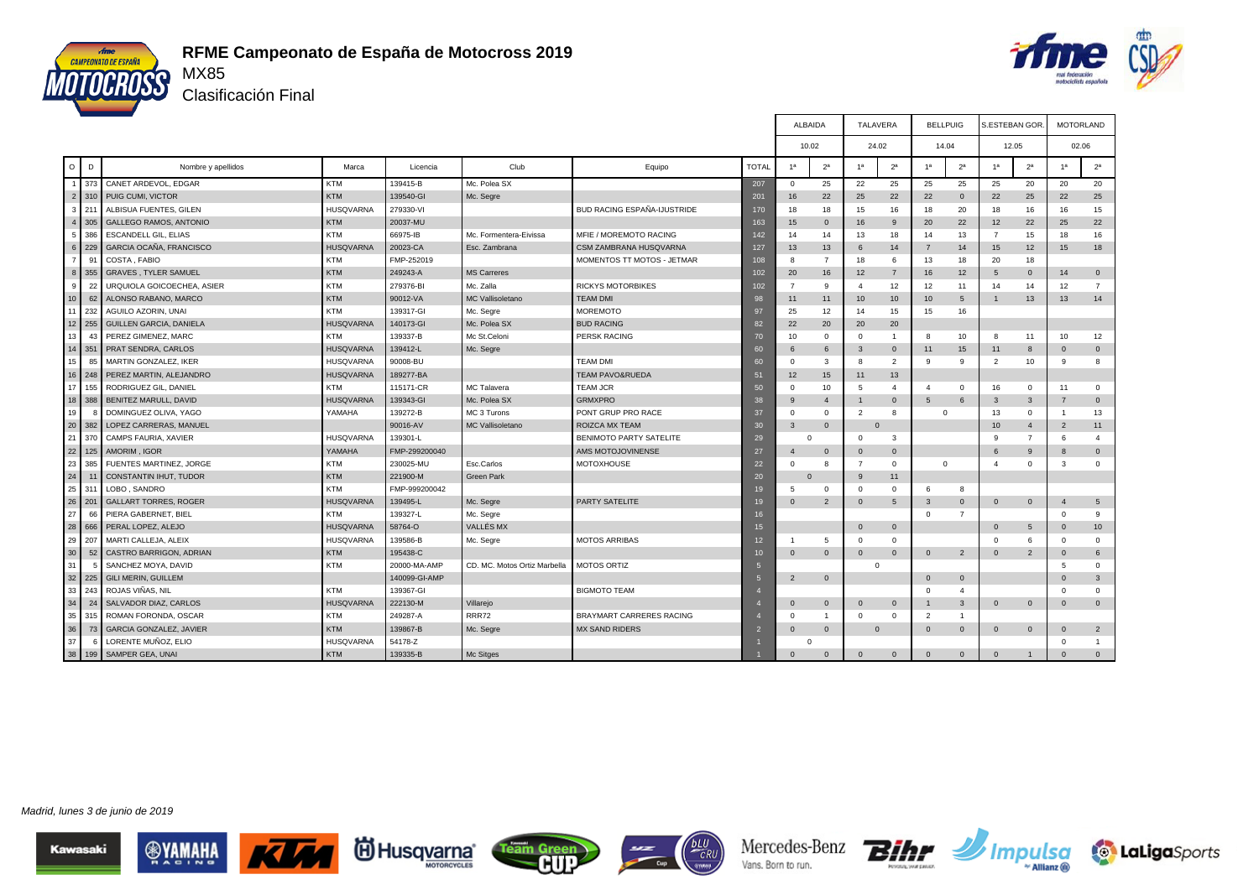



Clasificación Final

|                      |              |                                |                  |               |                              |                                    |                          | <b>ALBAIDA</b>   |                | <b>TALAVERA</b>          |                 | <b>BELLPUIG</b> |                | <b>S.ESTEBAN GOR</b> |                | <b>MOTORLAND</b> |                 |
|----------------------|--------------|--------------------------------|------------------|---------------|------------------------------|------------------------------------|--------------------------|------------------|----------------|--------------------------|-----------------|-----------------|----------------|----------------------|----------------|------------------|-----------------|
|                      |              |                                |                  |               |                              |                                    |                          | 10.02            |                | 24.02                    |                 | 14.04           |                | 12.05                |                | 02.06            |                 |
| $\circ$              | D            | Nombre y apellidos             | Marca            | Licencia      | Club                         | Equipo                             | <b>TOTAL</b>             | 1 <sup>a</sup>   | 2 <sup>a</sup> | 1a                       | $2^a$           | 1 <sup>a</sup>  | 2 <sup>a</sup> | 1 <sup>a</sup>       | 2 <sup>a</sup> | 1 <sup>a</sup>   | 2 <sup>a</sup>  |
| $\blacktriangleleft$ | 373          | CANET ARDEVOL, EDGAR           | <b>KTM</b>       | 139415-B      | Mc. Polea SX                 |                                    | 207                      | $^{\circ}$       | 25             | 22                       | 25              | 25              | 25             | 25                   | 20             | 20               | 20              |
| $\overline{2}$       | 310          | PUIG CUMI, VICTOR              | <b>KTM</b>       | 139540-GI     | Mc. Segre                    |                                    | 201                      | 16               | 22             | 25                       | 22              | 22              | $\Omega$       | 22                   | 25             | 22               | 25              |
| 3 <sup>1</sup>       | 211          | ALBISUA FUENTES, GILEN         | <b>HUSQVARNA</b> | 279330-VI     |                              | <b>BUD RACING ESPAÑA-IJUSTRIDE</b> | 170                      | 18               | 18             | 15                       | 16              | 18              | 20             | 18                   | 16             | 16               | 15              |
| $\overline{4}$       | 305          | <b>GALLEGO RAMOS, ANTONIO</b>  | <b>KTM</b>       | 20037-MU      |                              |                                    | 163                      | 15 <sup>15</sup> | $\mathbf 0$    | 16                       | 9               | 20              | 22             | 12                   | 22             | 25               | 22              |
| 5                    | 386          | ESCANDELL GIL, ELIAS           | <b>KTM</b>       | 66975-IB      | Mc. Formentera-Eivissa       | MFIE / MOREMOTO RACING             | 142                      | 14               | 14             | 13                       | 18              | 14              | 13             | $\overline{7}$       | 15             | 18               | 16              |
| 6 <sup>1</sup>       | 229          | GARCIA OCAÑA, FRANCISCO        | <b>HUSQVARNA</b> | 20023-CA      | Esc. Zambrana                | CSM ZAMBRANA HUSQVARNA             | 127                      | 13               | 13             | 6                        | 14              | $\overline{7}$  | 14             | 15                   | 12             | 15               | 18              |
| $\overline{7}$       | 91           | COSTA, FABIO                   | <b>KTM</b>       | FMP-252019    |                              | MOMENTOS TT MOTOS - JETMAR         | 108                      | 8                | $\overline{7}$ | 18                       | 6               | 13              | 18             | 20                   | 18             |                  |                 |
| 8                    | 355          | <b>GRAVES, TYLER SAMUEL</b>    | <b>KTM</b>       | 249243-A      | <b>MS Carreres</b>           |                                    | 102                      | 20               | 16             | 12                       | $\overline{7}$  | 16              | 12             | 5                    | $\overline{0}$ | 14               | $\mathbf 0$     |
| 9                    | 22           | URQUIOLA GOICOECHEA, ASIER     | <b>KTM</b>       | 279376-BI     | Mc. Zalla                    | <b>RICKYS MOTORBIKES</b>           | 102                      | $\overline{7}$   | 9              | $\overline{4}$           | 12              | 12              | 11             | 14                   | 14             | 12               | $\overline{7}$  |
| 10                   | 62           | ALONSO RABANO, MARCO           | <b>KTM</b>       | 90012-VA      | MC Vallisoletano             | <b>TEAM DMI</b>                    | 98                       | 11               | 11             | 10                       | 10              | 10              | 5              | $\mathbf{1}$         | 13             | 13               | 14              |
| 11                   | 232          | AGUILO AZORIN, UNAI            | <b>KTM</b>       | 139317-GI     | Mc. Segre                    | <b>MOREMOTO</b>                    | 97                       | 25               | 12             | 14                       | 15              | 15              | 16             |                      |                |                  |                 |
| 12                   | 255          | GUILLEN GARCIA, DANIELA        | <b>HUSQVARNA</b> | 140173-GI     | Mc. Polea SX                 | <b>BUD RACING</b>                  | 82                       | 22               | 20             | 20                       | 20              |                 |                |                      |                |                  |                 |
| 13                   | 43           | PEREZ GIMENEZ, MARC            | <b>KTM</b>       | 139337-B      | Mc St.Celoni                 | <b>PERSK RACING</b>                | 70                       | 10               | $\mathbf{0}$   | $\overline{0}$           | $\overline{1}$  | 8               | 10             | 8                    | 11             | 10               | 12              |
| 14                   | 351          | PRAT SENDRA, CARLOS            | <b>HUSQVARNA</b> | 139412-L      | Mc. Segre                    |                                    | 60                       |                  | 6              | 3                        | $\mathbf{0}$    | 11              | 15             | 11                   | $\mathbf{8}$   | $\Omega$         | $\mathbf 0$     |
| 15                   | 85           | MARTIN GONZALEZ, IKER          | <b>HUSQVARNA</b> | 90008-BU      |                              | <b>TEAM DMI</b>                    | 60                       | $\Omega$         | 3              | 8                        | $\overline{2}$  | 9               | 9              | $\overline{2}$       | 10             | 9                | 8               |
| 16                   | 248          | PEREZ MARTIN, ALEJANDRO        | <b>HUSQVARNA</b> | 189277-BA     |                              | <b>TEAM PAVO&amp;RUEDA</b>         | 51                       | 12               | 15             | 11                       | 13              |                 |                |                      |                |                  |                 |
| 17                   | 155          | RODRIGUEZ GIL, DANIEL          | <b>KTM</b>       | 115171-CR     | MC Talavera                  | <b>TEAM JCR</b>                    | 50                       | $\Omega$         | 10             | 5                        | $\overline{4}$  | $\overline{4}$  | $\circ$        | 16                   | $\mathbf 0$    | 11               | $\mathbf 0$     |
| 18                   | 388          | BENITEZ MARULL, DAVID          | <b>HUSQVARNA</b> | 139343-GI     | Mc. Polea SX                 | <b>GRMXPRO</b>                     | 38                       | $\mathbf{Q}$     | $\overline{4}$ | 1                        | $\Omega$        | 5               | 6              | 3                    | $\overline{3}$ | $\overline{7}$   | $\mathbf{0}$    |
| 19                   | $\mathbf{R}$ | DOMINGUEZ OLIVA, YAGO          | YAMAHA           | 139272-B      | MC 3 Turons                  | PONT GRUP PRO RACE                 | 37                       | $\Omega$         | $\mathbf{0}$   | $\overline{\phantom{0}}$ | 8               | $\Omega$        |                | 13                   | $\Omega$       | $\overline{1}$   | 13              |
| 20                   | 382          | LOPEZ CARRERAS, MANUEL         |                  | 90016-AV      | <b>MC Vallisoletano</b>      | ROIZCA MX TEAM                     | 30                       | $\mathcal{R}$    | $\mathbf{0}$   |                          | $\Omega$        |                 |                | 10                   | $\overline{4}$ | $\overline{2}$   | 11              |
| 21                   | 370          | CAMPS FAURIA, XAVIER           | <b>HUSQVARNA</b> | 139301-L      |                              | <b>BENIMOTO PARTY SATELITE</b>     | 29                       | $\Omega$         |                | $\Omega$                 | 3               |                 |                | 9                    | $\overline{7}$ | 6                | $\overline{4}$  |
| 22                   | 125          | AMORIM, IGOR                   | YAMAHA           | FMP-299200040 |                              | AMS MOTOJOVINENSE                  | 27                       | $\overline{4}$   | $\mathbf{0}$   | $\overline{0}$           | $\mathbf{0}$    |                 |                | 6                    | -9             | $\mathbf{8}$     | $\mathbf{0}$    |
| 23                   | 385          | FUENTES MARTINEZ, JORGE        | <b>KTM</b>       | 230025-MU     | Esc.Carlos                   | <b>MOTOXHOUSE</b>                  | 22                       | $\Omega$         | 8              | $\overline{7}$           | $\mathbf{0}$    | $\mathbf 0$     |                | $\overline{4}$       | $^{\circ}$     | 3                | $\mathbf{0}$    |
| 24                   |              | CONSTANTIN IHUT, TUDOR         | <b>KTM</b>       | 221900-M      | Green Park                   |                                    | 20                       | $\Omega$         |                | 9                        | 11              |                 |                |                      |                |                  |                 |
| 25                   | 311          | LOBO, SANDRO                   | <b>KTM</b>       | FMP-999200042 |                              |                                    | 19                       | $5\overline{5}$  | $\mathbf{0}$   | $\Omega$                 | $\mathbf{0}$    | 6               | 8              |                      |                |                  |                 |
| 26                   | 201          | <b>GALLART TORRES, ROGER</b>   | <b>HUSQVARNA</b> | 139495-L      | Mc. Segre                    | PARTY SATELITE                     | 19                       | $\Omega$         | $\overline{2}$ | $\overline{0}$           | $5\phantom{.0}$ | 3               | $\mathbf 0$    | $\mathsf 0$          | $\overline{0}$ | $\overline{a}$   | $5\phantom{.0}$ |
| 27                   | 66           | PIERA GABERNET, BIEL           | <b>KTM</b>       | 139327-L      | Mc. Segre                    |                                    | 16                       |                  |                |                          |                 | $\Omega$        | $\overline{7}$ |                      |                | $\Omega$         | 9               |
| 28                   | 666          | PERAL LOPEZ, ALEJO             | <b>HUSQVARNA</b> | 58764-O       | VALLÉS MX                    |                                    | 15                       |                  |                | $\Omega$                 | $\mathbf{0}$    |                 |                | $\mathbf{0}$         | 5              | $\Omega$         | 10              |
| 29                   | 207          | MARTI CALLEJA, ALEIX           | <b>HUSQVARNA</b> | 139586-B      | Mc. Segre                    | <b>MOTOS ARRIBAS</b>               | 12                       |                  | 5              | $\Omega$                 | $\Omega$        |                 |                | $\Omega$             | 6              | $\Omega$         | $\mathbf{0}$    |
| 30                   | 52           | CASTRO BARRIGON, ADRIAN        | <b>KTM</b>       | 195438-C      |                              |                                    | 10                       | $\Omega$         | $\mathbf{0}$   | $\mathbf 0$              | $\mathbf{0}$    | $\mathbf{0}$    | $\overline{2}$ | $\Omega$             | $\overline{2}$ | $\Omega$         | 6               |
| 31                   |              | SANCHEZ MOYA, DAVID            | <b>KTM</b>       | 20000-MA-AMP  | CD. MC. Motos Ortiz Marbella | <b>MOTOS ORTIZ</b>                 |                          |                  |                | $\Omega$                 |                 |                 |                |                      |                | 5                | $\mathbf 0$     |
| 32                   | 225          | <b>GILI MERIN, GUILLEM</b>     |                  | 140099-GI-AMP |                              |                                    | 5                        | $\overline{2}$   | $\mathbf 0$    |                          |                 | $\Omega$        | $\mathbf{0}$   |                      |                | $\Omega$         | $\mathbf{3}$    |
| 33                   | 243          | ROJAS VIÑAS, NIL               | <b>KTM</b>       | 139367-GI     |                              | <b>BIGMOTO TEAM</b>                |                          |                  |                |                          |                 | $\Omega$        | $\overline{4}$ |                      |                | $\Omega$         | $\mathbf{0}$    |
| 34                   | 24           | SALVADOR DIAZ, CARLOS          | <b>HUSQVARNA</b> | 222130-M      | Villarejo                    |                                    |                          | $\Omega$         | $\mathbf 0$    | $\Omega$                 | $\mathbf{0}$    | $\mathbf{1}$    | 3              | $\mathbf{0}$         | $\overline{0}$ | $\mathbf{0}$     | $\mathbf{0}$    |
| 35                   | 315          | ROMAN FORONDA, OSCAR           | <b>KTM</b>       | 249287-A      | <b>RRR72</b>                 | BRAYMART CARRERES RACING           |                          | $\Omega$         | $\overline{1}$ | $\Omega$                 | $\Omega$        | $\overline{2}$  | $\overline{1}$ |                      |                |                  |                 |
| 36                   | 73           | <b>GARCIA GONZALEZ, JAVIER</b> | <b>KTM</b>       | 139867-B      | Mc. Segre                    | <b>MX SAND RIDERS</b>              | $\overline{\phantom{a}}$ | $\Omega$         | $\mathbf{0}$   |                          | $\Omega$        | $\Omega$        | $\Omega$       | $\mathbf{0}$         | $\overline{0}$ | $\Omega$         | $\overline{2}$  |
| 37                   | 6            | LORENTE MUÑOZ, ELIO            | <b>HUSQVARNA</b> | 54178-Z       |                              |                                    |                          |                  |                |                          |                 |                 |                |                      |                | $\Omega$         | $\mathbf{1}$    |
| 38                   | 199          | SAMPER GEA, UNAI               | <b>KTM</b>       | 139335-B      | Mc Sitges                    |                                    |                          | $\Omega$         | $\Omega$       | $\Omega$                 | $\Omega$        | $\Omega$        | $\mathbf{0}$   | $\Omega$             |                | $\Omega$         | $\mathbf{0}$    |

Madrid, lunes 3 de junio de 2019











Mercedes-Benz Vans. Born to run.



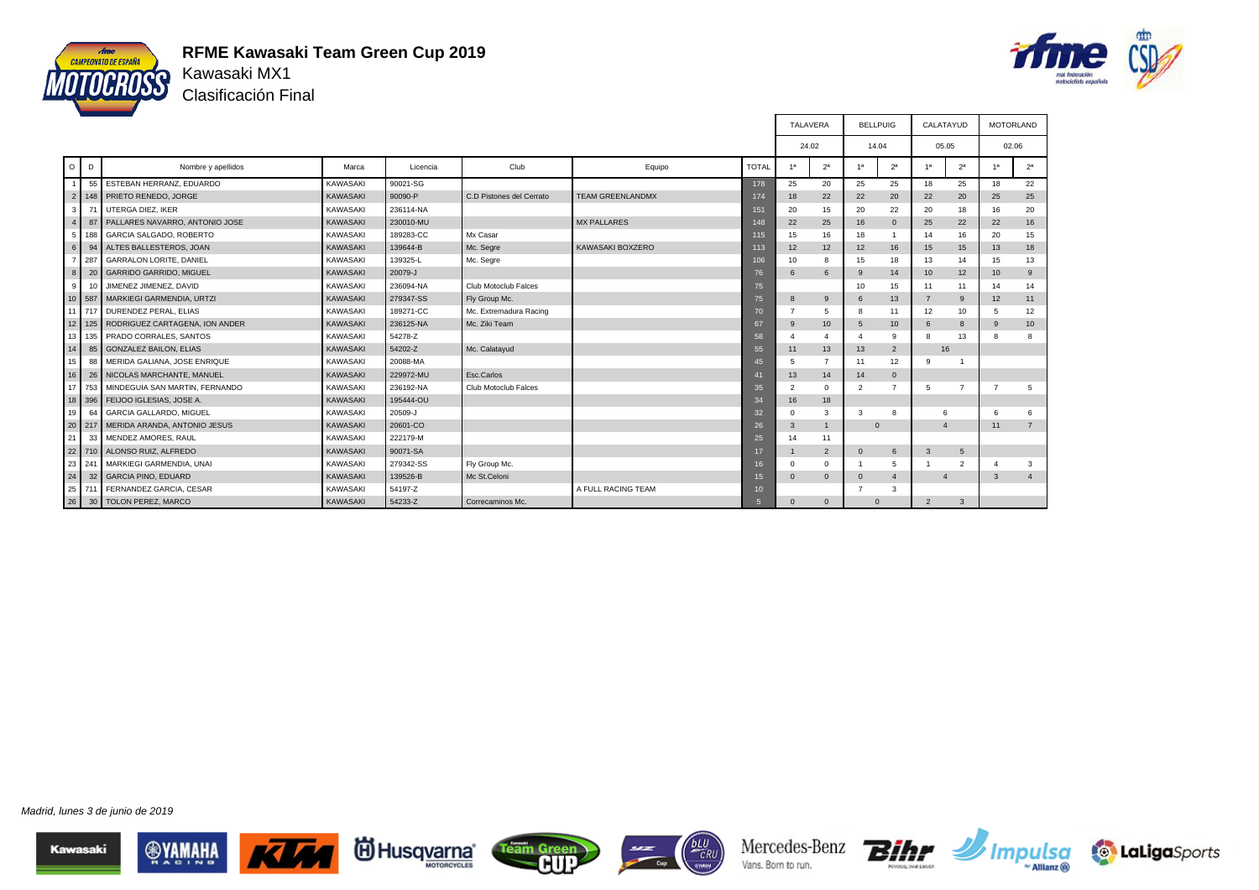

### **RFME Kawasaki Team Green Cup 2019** Kawasaki MX1

Clasificación Final



|                |     |                                       |                 |           |                          |                         |                 | TALAVERA       |                | <b>BELLPUIG</b>          |                | CALATAYUD      |                | <b>MOTORLAND</b> |                |
|----------------|-----|---------------------------------------|-----------------|-----------|--------------------------|-------------------------|-----------------|----------------|----------------|--------------------------|----------------|----------------|----------------|------------------|----------------|
|                |     |                                       |                 |           |                          |                         |                 | 24.02          |                |                          | 14.04          | 05.05          |                | 02.06            |                |
| $\circ$        | D   | Nombre y apellidos                    | Marca           | Licencia  | Club                     | Equipo                  | <b>TOTAL</b>    | 1 <sup>a</sup> | 2 <sup>a</sup> | 1 <sup>a</sup>           | 2 <sup>a</sup> | 1 <sup>a</sup> | 2 <sup>a</sup> | 1 <sup>a</sup>   | 2 <sup>a</sup> |
|                |     | 55 ESTEBAN HERRANZ, EDUARDO           | <b>KAWASAKI</b> | 90021-SG  |                          |                         | 178             | 25             | 20             | 25                       | 25             | 18             | 25             | 18               | 22             |
|                |     | 2 148 PRIETO RENEDO, JORGE            | <b>KAWASAKI</b> | 90090-P   | C.D Pistones del Cerrato | <b>TEAM GREENLANDMX</b> | 174             | 18             | 22             | 22                       | 20             | 22             | 20             | 25               | 25             |
| 3 <sup>1</sup> |     | UTERGA DIEZ, IKER                     | <b>KAWASAKI</b> | 236114-NA |                          |                         | 151             | 20             | 15             | 20                       | 22             | 20             | 18             | 16               | 20             |
| 4 <sup>1</sup> |     | 87 PALLARES NAVARRO, ANTONIO JOSE     | <b>KAWASAKI</b> | 230010-MU |                          | <b>MX PALLARES</b>      | 148             | 22             | 25             | 16                       | $\Omega$       | 25             | 22             | 22               | 16             |
| 5 <sup>1</sup> | 188 | GARCIA SALGADO, ROBERTO               | <b>KAWASAKI</b> | 189283-CC | Mx Casar                 |                         | 115             | 15             | 16             | 18                       | $\mathbf{1}$   | 14             | 16             | 20               | 15             |
| $6 \mid$       | 94  | ALTES BALLESTEROS, JOAN               | <b>KAWASAKI</b> | 139644-B  | Mc. Segre                | KAWASAKI BOXZERO        | 113             | 12             | 12             | 12                       | 16             | 15             | 15             | 13               | 18             |
| 7              | 287 | <b>GARRALON LORITE, DANIEL</b>        | <b>KAWASAKI</b> | 139325-L  | Mc. Segre                |                         | 106             | 10             | 8              | 15                       | 18             | 13             | 14             | 15               | 13             |
| 8 <sup>1</sup> | 20  | <b>GARRIDO GARRIDO, MIGUEL</b>        | <b>KAWASAKI</b> | 20079-J   |                          |                         | 76              | 6              | 6              | 9                        | 14             | 10             | 12             | 10 <sup>1</sup>  | 9              |
| 9              | 10  | JIMENEZ JIMENEZ, DAVID                | <b>KAWASAKI</b> | 236094-NA | Club Motoclub Falces     |                         | 75              |                |                | 10                       | 15             | 11             | 11             | 14               | 14             |
|                |     | 10 587 MARKIEGI GARMENDIA, URTZI      | <b>KAWASAKI</b> | 279347-SS | Fly Group Mc.            |                         | 75              | 8              | 9              | 6                        | 13             | $\overline{7}$ | 9              | 12               | 11             |
|                |     | 11 717 DURENDEZ PERAL. ELIAS          | <b>KAWASAKI</b> | 189271-CC | Mc. Extremadura Racing   |                         | 70              |                | 5              | 8                        | 11             | 12             | 10             | 5                | 12             |
|                |     | 12 125 RODRIGUEZ CARTAGENA, ION ANDER | <b>KAWASAKI</b> | 236125-NA | Mc. Ziki Team            |                         | 67              | 9              | 10             | 5                        | 10             | 6              | 8              | 9                | 10             |
| 13             |     | 135 PRADO CORRALES, SANTOS            | <b>KAWASAKI</b> | 54278-Z   |                          |                         | 58              |                | $\overline{4}$ | $\Delta$                 | 9              | R              | 13             | $\mathbf{R}$     | 8              |
| 14             |     | 85 GONZALEZ BAILON, ELIAS             | <b>KAWASAKI</b> | 54202-Z   | Mc. Calatayud            |                         | 55              | 11             | 13             | 13                       | $\overline{2}$ | 16             |                |                  |                |
| 15             | 88  | MERIDA GALIANA, JOSE ENRIQUE          | <b>KAWASAKI</b> | 20088-MA  |                          |                         | 45              | 5              | $\overline{7}$ | 11                       | 12             | 9              |                |                  |                |
| 16             |     | 26 NICOLAS MARCHANTE, MANUEL          | <b>KAWASAKI</b> | 229972-MU | Esc.Carlos               |                         | 41              | 13             | 14             | 14                       | $\mathbf 0$    |                |                |                  |                |
| 17             | 753 | MINDEGUIA SAN MARTIN, FERNANDO        | <b>KAWASAKI</b> | 236192-NA | Club Motoclub Falces     |                         | 35              | $\overline{2}$ | $\mathbf 0$    | $\overline{\phantom{a}}$ | $\overline{7}$ | 5              | $\overline{7}$ | $\overline{7}$   | 5              |
| 18             |     | 396 FEIJOO IGLESIAS, JOSE A.          | <b>KAWASAKI</b> | 195444-OU |                          |                         | 34              | 16             | 18             |                          |                |                |                |                  |                |
| 19             |     | <b>GARCIA GALLARDO, MIGUEL</b>        | <b>KAWASAKI</b> | 20509-J   |                          |                         | 32              | $\Omega$       | 3              | 3                        | 8              | 6              |                | 6                | 6              |
| $\frac{20}{2}$ | 217 | MERIDA ARANDA, ANTONIO JESUS          | <b>KAWASAKI</b> | 20601-CO  |                          |                         | 26              | 3              | $\overline{1}$ |                          | $\Omega$       | $\Delta$       |                | 11               | $\overline{7}$ |
| 21             | 33  | MENDEZ AMORES, RAUL                   | <b>KAWASAKI</b> | 222179-M  |                          |                         | 25              | 14             | 11             |                          |                |                |                |                  |                |
|                |     | 22 710 ALONSO RUIZ, ALFREDO           | <b>KAWASAKI</b> | 90071-SA  |                          |                         | 17              |                | $\overline{2}$ | $\Omega$                 | 6              | 3              | 5              |                  |                |
| 23             | 241 | MARKIEGI GARMENDIA, UNAI              | <b>KAWASAKI</b> | 279342-SS | Fly Group Mc.            |                         | 16              | $\Omega$       | $\mathbf 0$    |                          | 5              |                | $\overline{2}$ |                  | 3              |
| 24             |     | 32 GARCIA PINO, EDUARD                | <b>KAWASAKI</b> | 139526-B  | Mc St.Celoni             |                         | 15              | $\Omega$       | $\mathbf{0}$   | $\Omega$                 | $\overline{4}$ | $\overline{4}$ |                | $\mathbf{3}$     | $\overline{a}$ |
| 25             |     | 711 FERNANDEZ GARCIA, CESAR           | <b>KAWASAKI</b> | 54197-Z   |                          | A FULL RACING TEAM      | 10 <sup>1</sup> |                |                | 7                        | 3              |                |                |                  |                |
|                |     | 26 30 TOLON PEREZ, MARCO              | <b>KAWASAKI</b> | 54233-Z   | Correcaminos Mc.         |                         |                 | $\Omega$       | $\mathbf{0}$   |                          | $\Omega$       | $\overline{2}$ | 3              |                  |                |

Madrid, lunes 3 de junio de 2019









Mercedes-Benz Vans. Born to run.







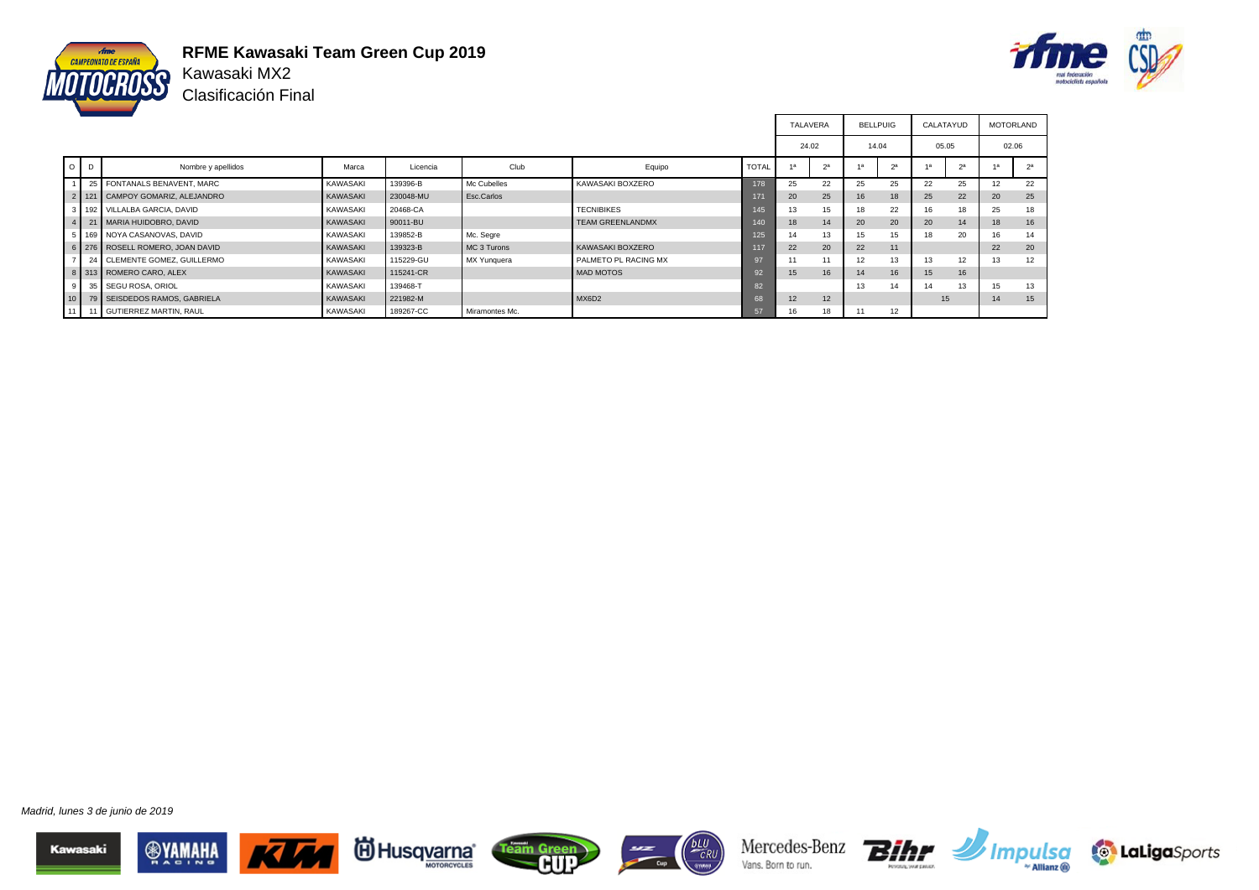

**RFME Kawasaki Team Green Cup 2019** Kawasaki MX2

Clasificación Final



|                 |                |                                     |                 |           |                |                         |              | <b>TALAVERA</b> |    | <b>BELLPUIG</b> |                | CALATAYUD |                | <b>MOTORLAND</b> |                |
|-----------------|----------------|-------------------------------------|-----------------|-----------|----------------|-------------------------|--------------|-----------------|----|-----------------|----------------|-----------|----------------|------------------|----------------|
|                 |                |                                     |                 |           |                |                         |              | 24.02           |    | 14.04           |                | 05.05     |                | 02.06            |                |
|                 | O <sub>1</sub> | Nombre y apellidos                  | Marca           | Licencia  | Club           | Equipo                  | <b>TOTAL</b> | 1a              | 2a | 1a              | 2 <sup>a</sup> |           | 2 <sup>a</sup> |                  | 2 <sup>a</sup> |
|                 |                | 25 FONTANALS BENAVENT, MARC         | <b>KAWASAKI</b> | 139396-B  | Mc Cubelles    | KAWASAKI BOXZERO        | 178          | 25              | 22 | 25              | 25             | 22        | 25             |                  | 22             |
|                 |                | 2   121   CAMPOY GOMARIZ, ALEJANDRO | KAWASAKI        | 230048-MU | Esc.Carlos     |                         |              | 20              | 25 | 16              | 18             | 25        | 22             | 20               | 25             |
|                 |                | 3 192 VILLALBA GARCIA, DAVID        | <b>KAWASAKI</b> | 20468-CA  |                | <b>TECNIBIKES</b>       | 145          | 13              | 15 |                 | 22             | 16        | 18             | 25               | 18             |
|                 |                | 4 21 MARIA HUIDOBRO, DAVID          | KAWASAKI        | 90011-BU  |                | <b>TEAM GREENLANDMX</b> | 140          | 18              | 14 | 20              | 20             | 20        | 14             | 18               | 16             |
|                 |                | 5   169   NOYA CASANOVAS, DAVID     | <b>KAWASAKI</b> | 139852-B  | Mc. Segre      |                         | 125          | 14              | 13 | 15              | 15             | 18        | 20             | 16               | 14             |
|                 |                | 6 276 ROSELL ROMERO, JOAN DAVID     | KAWASAKI        | 139323-B  | MC 3 Turons    | KAWASAKI BOXZERO        | 117          | 22              | 20 | 22              | 11             |           |                | 22               | 20             |
|                 |                | 24 CLEMENTE GOMEZ. GUILLERMO        | <b>KAWASAKI</b> | 115229-GU | MX Yunquera    | PALMETO PL RACING MX    |              |                 |    | 12              | 13             | 13        | 12             | 13               | 12             |
|                 |                | 8 313 ROMERO CARO, ALEX             | KAWASAKI        | 115241-CR |                | MAD MOTOS               |              | 15              | 16 | 14              | 16             | 15        | 16             |                  |                |
| 9 <sub>1</sub>  | 35             | SEGU ROSA, ORIOL                    | <b>KAWASAKI</b> | 139468-T  |                |                         | 82           |                 |    | 13              | 14             | 14        | 13             | 15               | 13             |
| 10 <sup>1</sup> |                | 79 SEISDEDOS RAMOS, GABRIELA        | <b>KAWASAKI</b> | 221982-M  |                | MX6D2                   | 68           | 12              | 12 |                 |                | 15        |                | 14               | 15             |
| 11 <sup>1</sup> |                | 11 GUTIERREZ MARTIN, RAUL           | KAWASAKI        | 189267-CC | Miramontes Mc. |                         | 57           | 16              | 18 | 11              | 12             |           |                |                  |                |

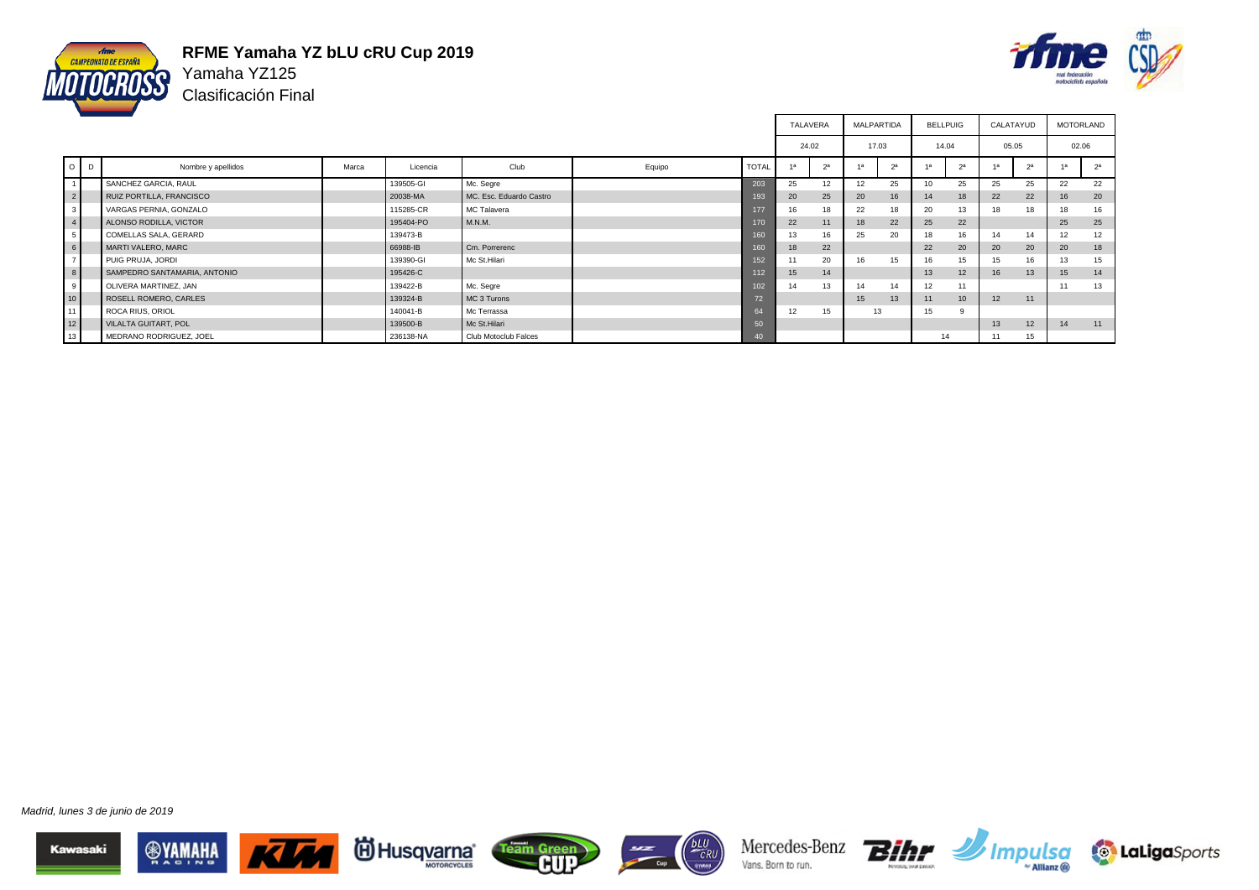

#### **RFME Yamaha YZ bLU cRU Cup 2019** Yamaha YZ125

Clasificación Final



|                 |   |                              |       |           |                         |        |              | <b>TALAVERA</b> |                | <b>MALPARTIDA</b> |    | <b>BELLPUIG</b> |                  |       | CALATAYUD      | <b>MOTORLAND</b> |                |
|-----------------|---|------------------------------|-------|-----------|-------------------------|--------|--------------|-----------------|----------------|-------------------|----|-----------------|------------------|-------|----------------|------------------|----------------|
|                 |   |                              |       |           |                         |        |              | 24.02           |                | 17.03             |    | 14.04           |                  | 05.05 |                | 02.06            |                |
| $\circ$         | D | Nombre y apellidos           | Marca | Licencia  | Club                    | Equipo | <b>TOTAL</b> |                 | 2 <sup>a</sup> | 1a                | 2a |                 | 2 <sup>a</sup>   | 4a    | 2 <sup>a</sup> | 1a               | 2 <sup>a</sup> |
|                 |   | SANCHEZ GARCIA, RAUL         |       | 139505-GI | Mc. Segre               |        | 203          | 25              | 12             | 12                | 25 | 10              | 25               | 25    | 25             | 22               | 22             |
| $\overline{2}$  |   | RUIZ PORTILLA, FRANCISCO     |       | 20038-MA  | MC. Esc. Eduardo Castro |        | 193          | 20              | 25             | 20                | 16 | 14              | 18               | 22    | 22             | 16               | 20             |
| 3 <sup>1</sup>  |   | VARGAS PERNIA, GONZALO       |       | 115285-CR | <b>MC Talavera</b>      |        | 177          | 16              | 18             | 22                | 18 | 20              | 13               | 18    | 18             | 18               | 16             |
| $\overline{4}$  |   | ALONSO RODILLA, VICTOR       |       | 195404-PO | M.N.M.                  |        | 170          | 22              | 11             | 18                | 22 | 25              | 22               |       |                | 25               | 25             |
| 5 <sub>5</sub>  |   | COMELLAS SALA, GERARD        |       | 139473-B  |                         |        | 160          | 13              | 16             | 25                | 20 | 18              | 16               | 14    | 14             | 12               | 12             |
| $6\overline{)}$ |   | MARTI VALERO, MARC           |       | 66988-IB  | Cm. Porrerenc           |        | 160          | 18              | 22             |                   |    | 22              | 20               | 20    | 20             | 20               | 18             |
| $7\overline{}$  |   | PUIG PRUJA, JORDI            |       | 139390-GI | Mc St.Hilari            |        | 152          | 11              | 20             | 16                | 15 | 16              | 15               | 15    | 16             | 13               | 15             |
| $\bf{8}$        |   | SAMPEDRO SANTAMARIA, ANTONIO |       | 195426-C  |                         |        | 112          | 15              | 14             |                   |    | 13              | 12 <sup>2</sup>  | 16    | 13             | 15               | 14             |
| 9               |   | OLIVERA MARTINEZ, JAN        |       | 139422-B  | Mc. Segre               |        | 102          | 14              | 13             | 14                | 14 | 12              | 11               |       |                | 11               | 13             |
| 10 <sub>1</sub> |   | ROSELL ROMERO, CARLES        |       | 139324-B  | MC 3 Turons             |        | 72           |                 |                | 15                | 13 | 11              | 10 <sup>10</sup> | 12    | 11             |                  |                |
| 11              |   | ROCA RIUS, ORIOL             |       | 140041-B  | Mc Terrassa             |        | 64           | 12              | 15             |                   | 13 | 15              |                  |       |                |                  |                |
| $\frac{1}{2}$   |   | <b>VILALTA GUITART, POL</b>  |       | 139500-B  | Mc St.Hilari            |        | 50           |                 |                |                   |    |                 |                  | 13    | 12             | 14               | 11             |
| 13              |   | MEDRANO RODRIGUEZ, JOEL      |       | 236138-NA | Club Motoclub Falces    |        | 40           |                 |                |                   |    | 14              |                  | 11    | 15             |                  |                |

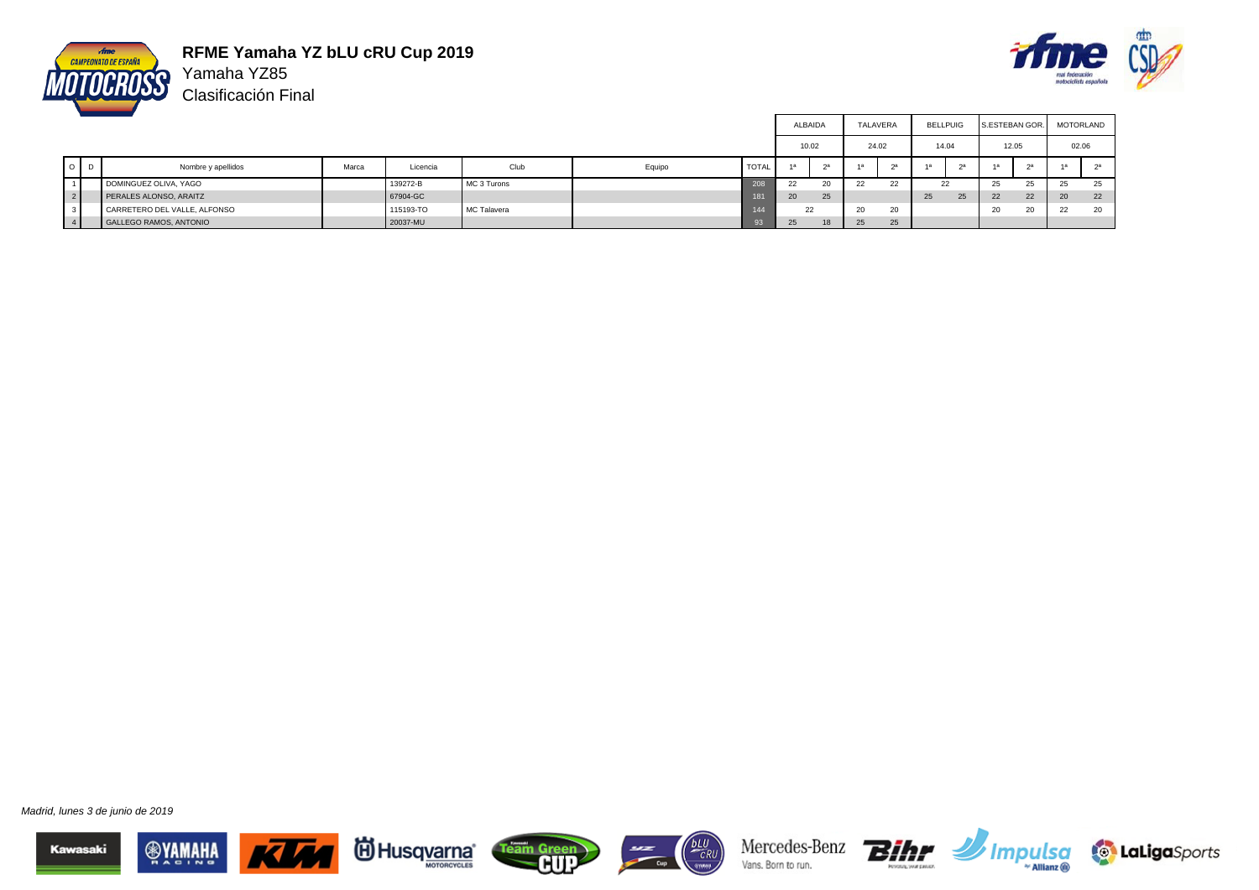

**RFME Yamaha YZ bLU cRU Cup 2019** Yamaha YZ85

Clasificación Final



|                |         |                               |       |           |             |        |              | ALBAIDA |    |       | TALAVERA | <b>BELLPUIG</b>      |    | S.ESTEBAN GOR. |    | MOTORLAND |    |
|----------------|---------|-------------------------------|-------|-----------|-------------|--------|--------------|---------|----|-------|----------|----------------------|----|----------------|----|-----------|----|
|                |         |                               |       |           |             |        |              | 10.02   |    | 24.02 |          | 14.04                |    | 12.05          |    | 02.06     |    |
|                | $O$ $D$ | Nombre y apellidos            | Marca | Licencia  | Club        | Equipo | <b>TOTAL</b> |         | 2a |       |          |                      |    | 1a             | 2a |           |    |
|                |         | DOMINGUEZ OLIVA, YAGO         |       | 139272-B  | MC 3 Turons |        | 208          | 22      | 20 | 22    | າາ<br>,, | $\sim$<br>$\epsilon$ |    | 25             | æ  | 25        | 25 |
| 2 <sup>1</sup> |         | PERALES ALONSO, ARAITZ        |       | 67904-GC  |             |        | 181          | 20      | 25 |       |          | 25                   | 25 | 22             | 22 | 20        | 22 |
| $\vert$ 3      |         | CARRETERO DEL VALLE, ALFONSO  |       | 115193-TO | MC Talavera |        | 144          | 22      |    | 20    | 20       |                      |    | 20             | 20 | 22        | 20 |
| 4 <sup>1</sup> |         | <b>GALLEGO RAMOS, ANTONIO</b> |       | 20037-MU  |             |        |              | 25      | 18 | 25    | 25       |                      |    |                |    |           |    |

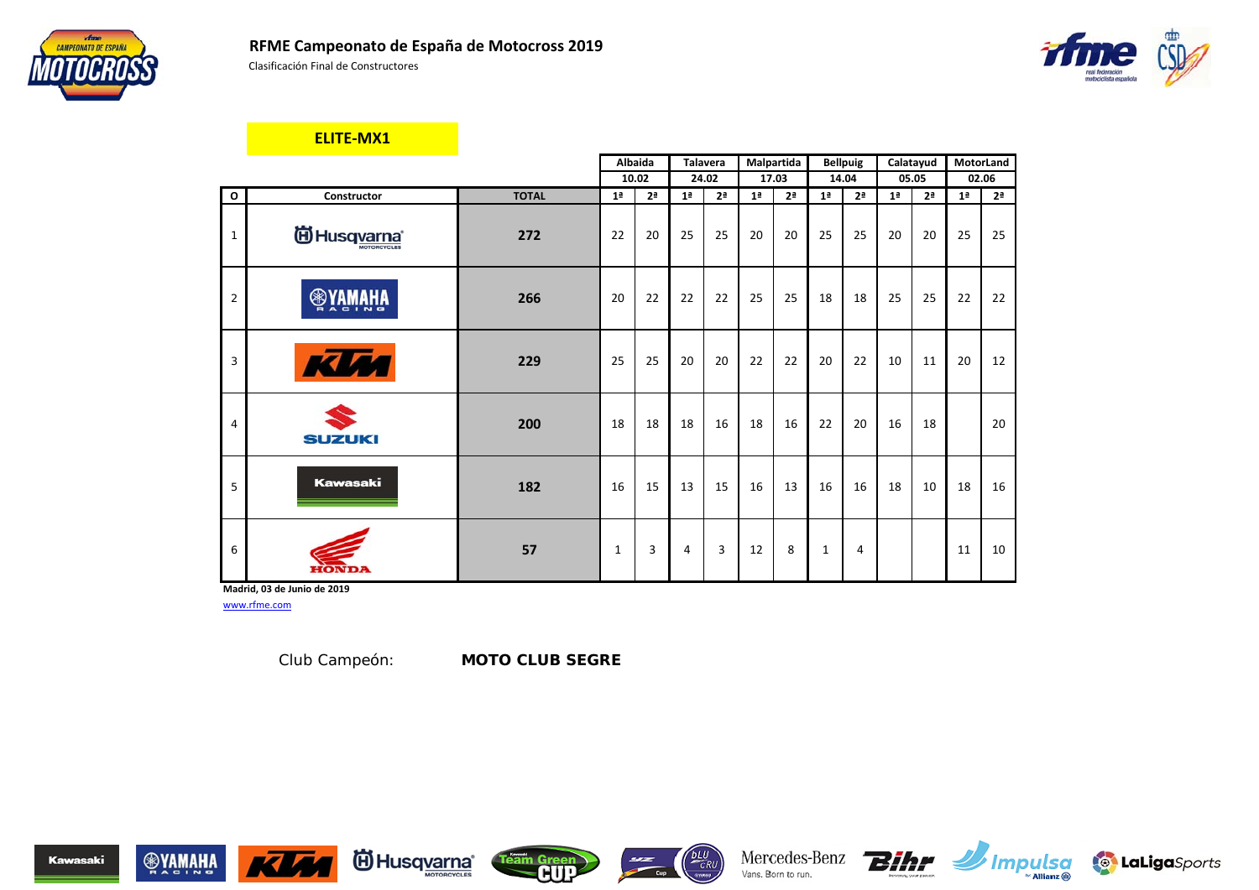



#### **ELITE-MX1**

|                |                               |              |                | Albaida        |                | Talavera       |                | Malpartida     |                | <b>Bellpuig</b> |                | Calatayud      | MotorLand      |                |
|----------------|-------------------------------|--------------|----------------|----------------|----------------|----------------|----------------|----------------|----------------|-----------------|----------------|----------------|----------------|----------------|
|                |                               |              |                | 10.02          |                | 24.02          |                | 17.03          |                | 14.04           |                | 05.05          |                | 02.06          |
| $\mathbf{o}$   | Constructor                   | <b>TOTAL</b> | 1 <sup>a</sup> | 2 <sup>a</sup> | 1 <sup>a</sup> | 2 <sup>a</sup> | 1 <sup>a</sup> | 2 <sup>a</sup> | 1 <sup>a</sup> | 2 <sup>a</sup>  | 1 <sup>a</sup> | 2 <sup>a</sup> | 1 <sup>a</sup> | 2 <sup>a</sup> |
| $\mathbf{1}$   | <b>iii)</b> Husq <u>varna</u> | 272          | 22             | 20             | 25             | 25             | 20             | 20             | 25             | 25              | 20             | 20             | 25             | 25             |
| $\overline{2}$ | <b>WAWAHA</b>                 | 266          | 20             | 22             | 22             | 22             | 25             | 25             | 18             | 18              | 25             | 25             | 22             | 22             |
| 3              | <u>кім</u>                    | 229          | 25             | 25             | 20             | 20             | 22             | 22             | 20             | 22              | 10             | 11             | 20             | 12             |
| $\overline{4}$ | <b>SUZUKI</b>                 | 200          | 18             | 18             | 18             | 16             | 18             | 16             | 22             | 20              | 16             | 18             |                | 20             |
| 5              | <b>Kawasaki</b>               | 182          | 16             | 15             | 13             | 15             | 16             | 13             | 16             | 16              | 18             | 10             | 18             | 16             |
| 6              | HONDA                         | 57           | 1              | 3              | 4              | 3              | 12             | 8              | 1              | 4               |                |                | 11             | 10             |

**Madrid, 03 de Junio de 2019**

www.rfme.com

Club Campeón: *MOTO CLUB SEGRE*















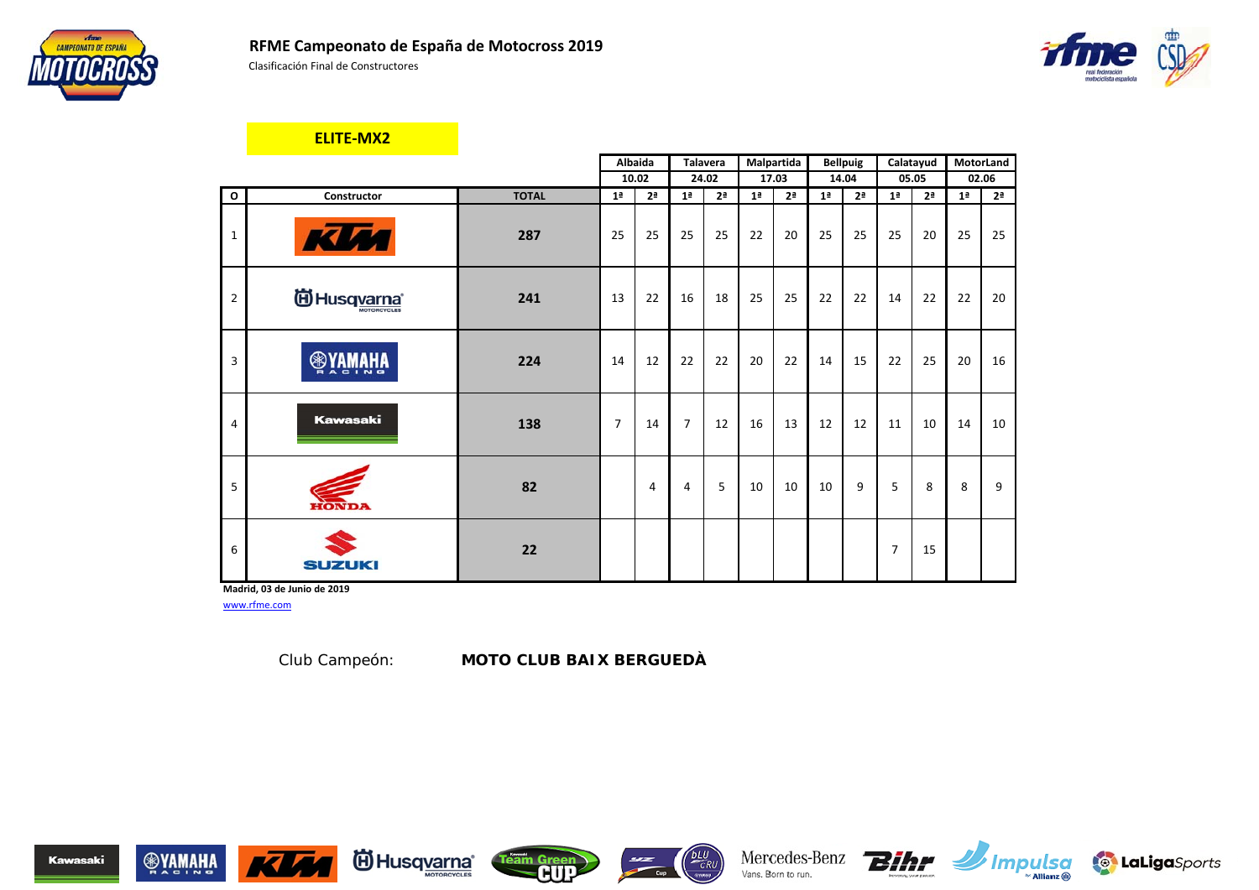





**I** LaLigaSports

#### **ELITE-MX2**

|                |                          |              |                | Albaida        |                | Talavera       |                | Malpartida     |                | <b>Bellpuig</b> |                | Calatayud      | MotorLand      |                |
|----------------|--------------------------|--------------|----------------|----------------|----------------|----------------|----------------|----------------|----------------|-----------------|----------------|----------------|----------------|----------------|
|                |                          |              |                | 10.02          |                | 24.02          |                | 17.03          |                | 14.04           |                | 05.05          |                | 02.06          |
| $\mathbf{o}$   | Constructor              | <b>TOTAL</b> | 1 <sup>a</sup> | 2 <sup>a</sup> | 1 <sup>a</sup> | 2 <sup>a</sup> | 1 <sup>a</sup> | 2 <sup>a</sup> | 1 <sup>a</sup> | 2 <sup>a</sup>  | 1 <sup>a</sup> | 2 <sup>a</sup> | 1 <sup>a</sup> | 2 <sup>a</sup> |
| $\mathbf{1}$   | <b>KUM</b>               | 287          | 25             | 25             | 25             | 25             | 22             | 20             | 25             | 25              | 25             | 20             | 25             | 25             |
| $\overline{2}$ | (ii) Husq <u>varna</u> * | 241          | 13             | 22             | 16             | 18             | 25             | 25             | 22             | 22              | 14             | 22             | 22             | 20             |
| 3              | <b>WAWAHA</b>            | 224          | 14             | 12             | 22             | 22             | 20             | 22             | 14             | 15              | 22             | 25             | 20             | 16             |
| $\overline{4}$ | <b>Kawasaki</b>          | 138          | $\overline{7}$ | 14             | $\overline{7}$ | 12             | 16             | 13             | 12             | 12              | 11             | 10             | 14             | 10             |
| 5              | <b>HONDA</b>             | 82           |                | 4              | 4              | 5              | 10             | 10             | 10             | 9               | 5              | 8              | 8              | 9              |
| 6              | <b>SUZUKI</b>            | 22           |                |                |                |                |                |                |                |                 | $\overline{7}$ | 15             |                |                |

**Madrid, 03 de Junio de 2019**

www.rfme.com

Club Campeón: *MOTO CLUB BAIX BERGUEDÀ*











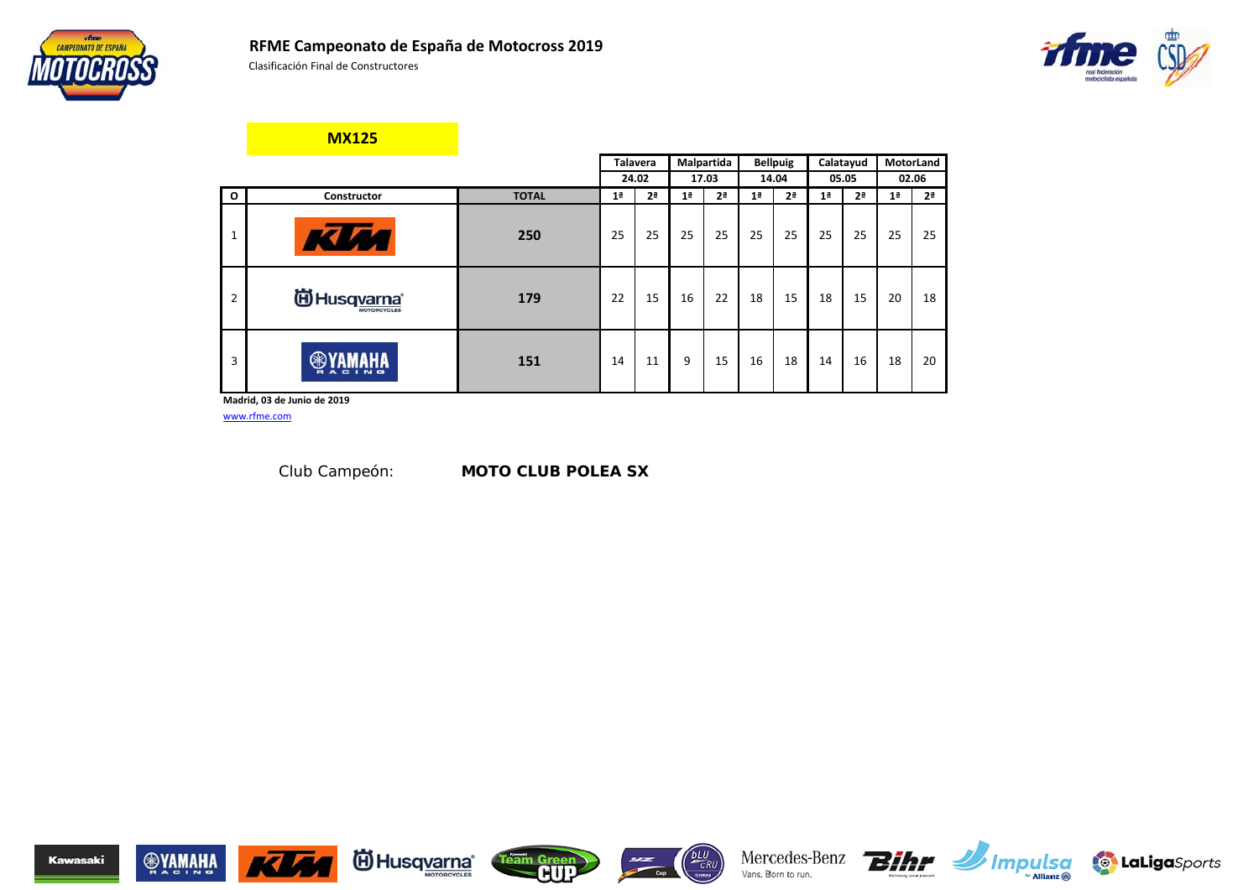





**MX125**

|              |                                  |              |                | <b>Talavera</b> |                | Malpartida     |                | <b>Bellpuig</b> |                | Calatayud      |                | MotorLand      |
|--------------|----------------------------------|--------------|----------------|-----------------|----------------|----------------|----------------|-----------------|----------------|----------------|----------------|----------------|
|              |                                  |              |                | 24.02           |                | 17.03          |                | 14.04           |                | 05.05          |                | 02.06          |
| $\mathbf{o}$ | Constructor                      | <b>TOTAL</b> | 1 <sup>a</sup> | 2 <sup>a</sup>  | 1 <sup>a</sup> | 2 <sup>a</sup> | 1 <sup>a</sup> | 2 <sup>a</sup>  | 1 <sup>a</sup> | 2 <sup>a</sup> | 1 <sup>a</sup> | 2 <sup>a</sup> |
| ٠            | <b>A</b>                         | 250          | 25             | 25              | 25             | 25             | 25             | 25              | 25             | 25             | 25             | 25             |
| 2            | <sup>伯</sup> Husq <u>varna</u> * | 179          | 22             | 15              | 16             | 22             | 18             | 15              | 18             | 15             | 20             | 18             |
| 3            | $\blacksquare$<br>A C I N G      | 151          | 14             | 11              | 9              | 15             | 16             | 18              | 14             | 16             | 18             | 20             |

**Madrid, 03 de Junio de 2019**

www.rfme.com

Club Campeón: *MOTO CLUB POLEA SX*















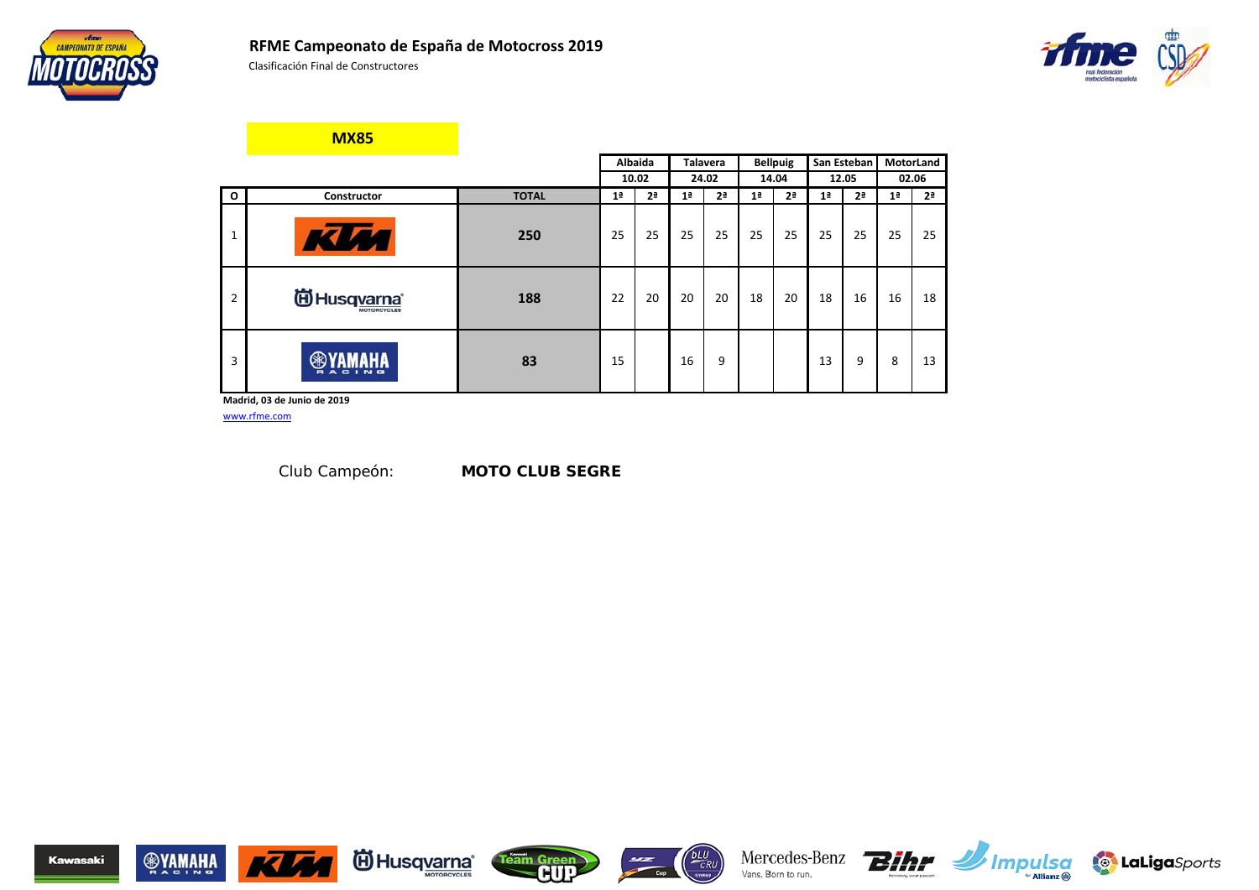





**MX85**

|                |                               |              |                | Albaida        |                | <b>Talavera</b> |                | <b>Bellpuig</b> |                | San Esteban    |                | <b>MotorLand</b> |
|----------------|-------------------------------|--------------|----------------|----------------|----------------|-----------------|----------------|-----------------|----------------|----------------|----------------|------------------|
|                |                               |              |                | 10.02          |                | 24.02           |                | 14.04           |                | 12.05          |                | 02.06            |
| $\mathbf{o}$   | Constructor                   | <b>TOTAL</b> | 1 <sup>a</sup> | 2 <sup>a</sup> | 1 <sup>a</sup> | 2 <sup>a</sup>  | 1 <sup>a</sup> | 2 <sup>a</sup>  | 1 <sup>a</sup> | 2 <sup>a</sup> | 1 <sup>a</sup> | 2 <sup>a</sup>   |
| $\mathbf{1}$   | KLA4                          | 250          | 25             | 25             | 25             | 25              | 25             | 25              | 25             | 25             | 25             | 25               |
| $\overline{2}$ | <b>iii)</b> Husq <u>varna</u> | 188          | 22             | 20             | 20             | 20              | 18             | 20              | 18             | 16             | 16             | 18               |
| 3              | $\blacksquare$<br>A C I N G   | 83           | 15             |                | 16             | 9               |                |                 | 13             | 9              | 8              | 13               |

**Madrid, 03 de Junio de 2019**

www.rfme.com

Club Campeón: *MOTO CLUB SEGRE*